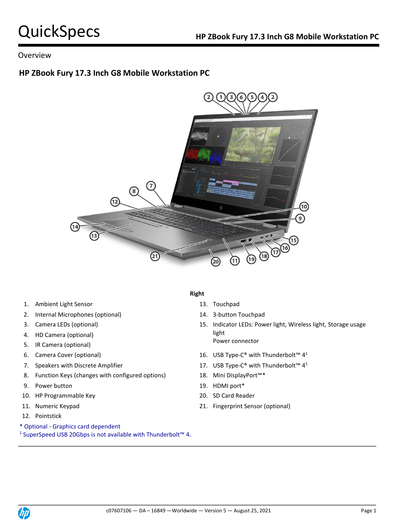## Overview

# **HP ZBook Fury 17.3 Inch G8 Mobile Workstation PC**



- 1. Ambient Light Sensor 13. Touchpad
- 2. Internal Microphones (optional) 14. 3-button Touchpad
- 
- 4. HD Camera (optional)
- 5. IR Camera (optional)
- 
- 
- 8. Function Keys (changes with configured options) 18. Mini DisplayPort<sup>™\*</sup>
- 9. Power button 19. HDMI port\*
- 10. HP Programmable Key 20. SD Card Reader
- 
- 12. Pointstick
- \* Optional Graphics card dependent
- <sup>1</sup> SuperSpeed USB 20Gbps is not available with Thunderbolt<sup>™</sup> 4.

## **Right**

- 
- 
- 3. Camera LEDs (optional) 15. Indicator LEDs: Power light, Wireless light, Storage usage light Power connector
- 6. Camera Cover (optional)  $\qquad \qquad$  16. USB Type-C® with Thunderbolt™ 4<sup>1</sup>
- 7. Speakers with Discrete Amplifier  $\blacksquare$  17. USB Type-C® with Thunderbolt™ 4<sup>1</sup>
	-
	-
	-
- 11. Numeric Keypad 21. Fingerprint Sensor (optional)

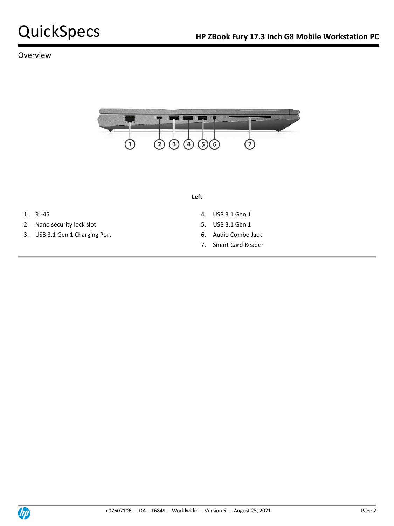## Overview



### **Left**

- 
- 2. Nano security lock slot 5. USB 3.1 Gen 1
- 3. USB 3.1 Gen 1 Charging Port 6. Audio Combo Jack
- 1. RJ-45 4. USB 3.1 Gen 1
	-
	-
	- 7. Smart Card Reader

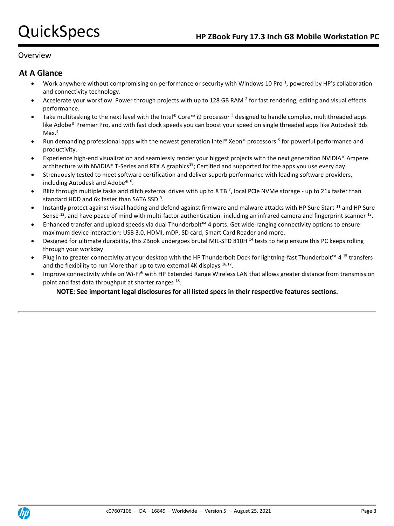## **Overview**

## **At A Glance**

- Work anywhere without compromising on performance or security with Windows 10 Pro<sup>1</sup>, powered by HP's collaboration and connectivity technology.
- Accelerate your workflow. Power through projects with up to 128 GB RAM  $^2$  for fast rendering, editing and visual effects performance.
- Take multitasking to the next level with the Intel® Core™ i9 processor  $3$  designed to handle complex, multithreaded apps like Adobe® Premier Pro, and with fast clock speeds you can boost your speed on single threaded apps like Autodesk 3ds  $Max.<sup>4</sup>$
- Run demanding professional apps with the newest generation Intel® Xeon® processors <sup>5</sup> for powerful performance and productivity.
- Experience high-end visualization and seamlessly render your biggest projects with the next generation NVIDIA® Ampere architecture with NVIDIA<sup>®</sup> T-Series and RTX A graphics<sup>19</sup>; Certified and supported for the apps you use every day.
- Strenuously tested to meet software certification and deliver superb performance with leading software providers, including Autodesk and Adobe® <sup>6</sup>.
- $\bullet$  Blitz through multiple tasks and ditch external drives with up to 8 TB<sup>7</sup>, local PCIe NVMe storage up to 21x faster than standard HDD and 6x faster than SATA SSD<sup>9</sup>.
- Instantly protect against visual hacking and defend against firmware and malware attacks with HP Sure Start <sup>11</sup> and HP Sure Sense  $^{12}$ , and have peace of mind with multi-factor authentication- including an infrared camera and fingerprint scanner  $^{13}$ .
- Enhanced transfer and upload speeds via dual Thunderbolt™ 4 ports. Get wide-ranging connectivity options to ensure maximum device interaction: USB 3.0, HDMI, mDP, SD card, Smart Card Reader and more.
- Designed for ultimate durability, this ZBook undergoes brutal MIL-STD 810H <sup>14</sup> tests to help ensure this PC keeps rolling through your workday.
- Plug in to greater connectivity at your desktop with the HP Thunderbolt Dock for lightning-fast Thunderbolt™ 4<sup>15</sup> transfers and the flexibility to run More than up to two external 4K displays  $16,17$ .
- Improve connectivity while on Wi-Fi® with HP Extended Range Wireless LAN that allows greater distance from transmission point and fast data throughput at shorter ranges <sup>18</sup>.

## **NOTE: See important legal disclosures for all listed specs in their respective features sections.**

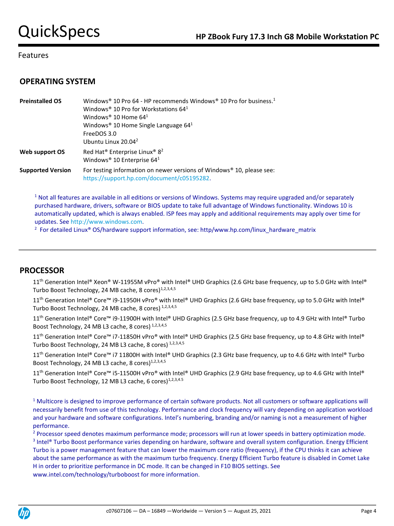# **OPERATING SYSTEM**

| <b>Preinstalled OS</b>   | Windows <sup>®</sup> 10 Pro 64 - HP recommends Windows <sup>®</sup> 10 Pro for business. <sup>1</sup><br>Windows <sup>®</sup> 10 Pro for Workstations $641$<br>Windows <sup>®</sup> 10 Home $641$<br>Windows <sup>®</sup> 10 Home Single Language $641$<br>FreeDOS 3.0<br>Ubuntu Linux 20.04 <sup>2</sup> |
|--------------------------|-----------------------------------------------------------------------------------------------------------------------------------------------------------------------------------------------------------------------------------------------------------------------------------------------------------|
| Web support OS           | Red Hat <sup>®</sup> Enterprise Linux <sup>®</sup> 8 <sup>2</sup><br>Windows <sup>®</sup> 10 Enterprise 64 <sup>1</sup>                                                                                                                                                                                   |
| <b>Supported Version</b> | For testing information on newer versions of Windows® 10, please see:<br>https://support.hp.com/document/c05195282.                                                                                                                                                                                       |

<sup>1</sup> Not all features are available in all editions or versions of Windows. Systems may require upgraded and/or separately purchased hardware, drivers, software or BIOS update to take full advantage of Windows functionality. Windows 10 is automatically updated, which is always enabled. ISP fees may apply and additional requirements may apply over time for updates. Se[e http://www.windows.com.](http://www.windows.com/)

<sup>2</sup> For detailed Linux® OS/hardware support information, see: http/www.hp.com/linux\_hardware\_matrix

## **PROCESSOR**

11<sup>th</sup> Generation Intel® Xeon® W-11955M vPro® with Intel® UHD Graphics (2.6 GHz base frequency, up to 5.0 GHz with Intel® Turbo Boost Technology, 24 MB cache, 8 cores)<sup>1,2,3,4,5</sup>

11<sup>th</sup> Generation Intel® Core™ i9-11950H vPro® with Intel® UHD Graphics (2.6 GHz base frequency, up to 5.0 GHz with Intel® Turbo Boost Technology, 24 MB cache, 8 cores)<sup>1,2,3,4,5</sup>

11<sup>th</sup> Generation Intel® Core™ i9-11900H with Intel® UHD Graphics (2.5 GHz base frequency, up to 4.9 GHz with Intel® Turbo Boost Technology, 24 MB L3 cache, 8 cores)<sup>1,2,3,4,5</sup>

11<sup>th</sup> Generation Intel® Core™ i7-11850H vPro® with Intel® UHD Graphics (2.5 GHz base frequency, up to 4.8 GHz with Intel® Turbo Boost Technology, 24 MB L3 cache, 8 cores) 1,2,3,4,5

11<sup>th</sup> Generation Intel® Core™ i7 11800H with Intel® UHD Graphics (2.3 GHz base frequency, up to 4.6 GHz with Intel® Turbo Boost Technology, 24 MB L3 cache, 8 cores) $1,2,3,4,5$ 

11<sup>th</sup> Generation Intel® Core™ i5-11500H vPro® with Intel® UHD Graphics (2.9 GHz base frequency, up to 4.6 GHz with Intel® Turbo Boost Technology, 12 MB L3 cache, 6 cores)<sup>1,2,3,4.5</sup>

 $1$  Multicore is designed to improve performance of certain software products. Not all customers or software applications will necessarily benefit from use of this technology. Performance and clock frequency will vary depending on application workload and your hardware and software configurations. Intel's numbering, branding and/or naming is not a measurement of higher performance.

<sup>2</sup> Processor speed denotes maximum performance mode; processors will run at lower speeds in battery optimization mode. 3 Intel® Turbo Boost performance varies depending on hardware, software and overall system configuration. Energy Efficient Turbo is a power management feature that can lower the maximum core ratio (frequency), if the CPU thinks it can achieve about the same performance as with the maximum turbo frequency. Energy Efficient Turbo feature is disabled in Comet Lake H in order to prioritize performance in DC mode. It can be changed in F10 BIOS settings. See www.intel.com/technology/turboboost for more information.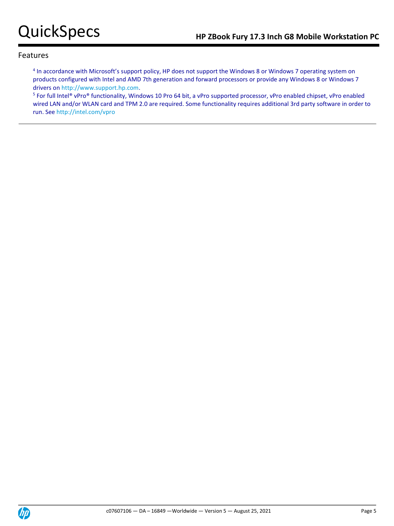<sup>4</sup> In accordance with Microsoft's support policy, HP does not support the Windows 8 or Windows 7 operating system on products configured with Intel and AMD 7th generation and forward processors or provide any Windows 8 or Windows 7 drivers o[n http://www.support.hp.com.](http://www.support.hp.com/)

<sup>5</sup> For full Intel® vPro® functionality, Windows 10 Pro 64 bit, a vPro supported processor, vPro enabled chipset, vPro enabled wired LAN and/or WLAN card and TPM 2.0 are required. Some functionality requires additional 3rd party software in order to run. See<http://intel.com/vpro>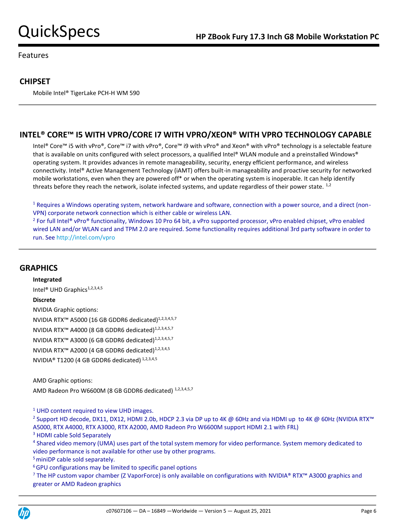# **CHIPSET**

Mobile Intel® TigerLake PCH-H WM 590

# **INTEL® CORE™ I5 WITH VPRO/CORE I7 WITH VPRO/XEON® WITH VPRO TECHNOLOGY CAPABLE**

Intel® Core™ i5 with vPro®, Core™ i7 with vPro®, Core™ i9 with vPro® and Xeon® with vPro® technology is a selectable feature that is available on units configured with select processors, a qualified Intel® WLAN module and a preinstalled Windows® operating system. It provides advances in remote manageability, security, energy efficient performance, and wireless connectivity. Intel® Active Management Technology (iAMT) offers built-in manageability and proactive security for networked mobile workstations, even when they are powered off\* or when the operating system is inoperable. It can help identify threats before they reach the network, isolate infected systems, and update regardless of their power state.  $1,2$ 

<sup>1</sup> Requires a Windows operating system, network hardware and software, connection with a power source, and a direct (non-VPN) corporate network connection which is either cable or wireless LAN.

<sup>2</sup> For full Intel® vPro® functionality, Windows 10 Pro 64 bit, a vPro supported processor, vPro enabled chipset, vPro enabled wired LAN and/or WLAN card and TPM 2.0 are required. Some functionality requires additional 3rd party software in order to run. See<http://intel.com/vpro>

## **GRAPHICS**

**Integrated** Intel<sup>®</sup> UHD Graphics<sup>1,2,3,4,5</sup> **Discrete** NVIDIA Graphic options: NVIDIA RTX<sup>™</sup> A5000 (16 GB GDDR6 dedicated)<sup>1,2,3,4,5,7</sup> NVIDIA RTX<sup>™</sup> A4000 (8 GB GDDR6 dedicated)<sup>1,2,3,4,5,7</sup> NVIDIA RTX<sup>™</sup> A3000 (6 GB GDDR6 dedicated)<sup>1,2,3,4,5,7</sup> NVIDIA RTX<sup>™</sup> A2000 (4 GB GDDR6 dedicated)<sup>1,2,3,4,5</sup> NVIDIA® T1200 (4 GB GDDR6 dedicated) 1,2,3,4,5

AMD Graphic options:

AMD Radeon Pro W6600M (8 GB GDDR6 dedicated)<sup>1,2,3,4,5,7</sup>

 $1$  UHD content required to view UHD images.

<sup>2</sup> Support HD decode, DX11, DX12, HDMI 2.0b, HDCP 2.3 via DP up to 4K @ 60Hz and via HDMI up to 4K @ 60Hz (NVIDIA RTX™ A5000, RTX A4000, RTX A3000, RTX A2000, AMD Radeon Pro W6600M support HDMI 2.1 with FRL)

<sup>3</sup> HDMI cable Sold Separately

<sup>4</sup> Shared video memory (UMA) uses part of the total system memory for video performance. System memory dedicated to video performance is not available for other use by other programs.

<sup>5</sup> miniDP cable sold separately.

<sup>6</sup> GPU configurations may be limited to specific panel options

<sup>7</sup> The HP custom vapor chamber (Z VaporForce) is only available on configurations with NVIDIA® RTX™ A3000 graphics and greater or AMD Radeon graphics

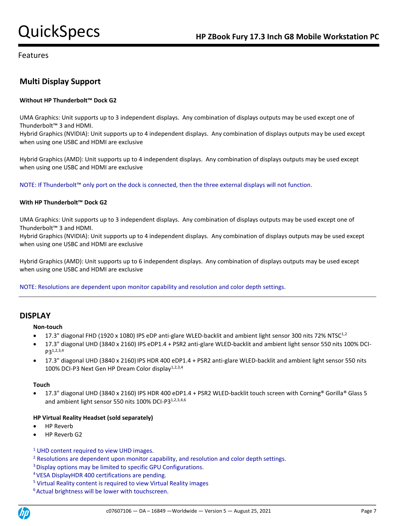# **Multi Display Support**

### **Without HP Thunderbolt™ Dock G2**

UMA Graphics: Unit supports up to 3 independent displays. Any combination of displays outputs may be used except one of Thunderbolt™ 3 and HDMI.

Hybrid Graphics (NVIDIA): Unit supports up to 4 independent displays. Any combination of displays outputs may be used except when using one USBC and HDMI are exclusive

Hybrid Graphics (AMD): Unit supports up to 4 independent displays. Any combination of displays outputs may be used except when using one USBC and HDMI are exclusive

NOTE: If Thunderbolt™ only port on the dock is connected, then the three external displays will not function.

### **With HP Thunderbolt™ Dock G2**

UMA Graphics: Unit supports up to 3 independent displays. Any combination of displays outputs may be used except one of Thunderbolt™ 3 and HDMI.

Hybrid Graphics (NVIDIA): Unit supports up to 4 independent displays. Any combination of displays outputs may be used except when using one USBC and HDMI are exclusive

Hybrid Graphics (AMD): Unit supports up to 6 independent displays. Any combination of displays outputs may be used except when using one USBC and HDMI are exclusive

NOTE: Resolutions are dependent upon monitor capability and resolution and color depth settings.

## **DISPLAY**

**Non-touch**

- 17.3" diagonal FHD (1920 x 1080) IPS eDP anti-glare WLED-backlit and ambient light sensor 300 nits 72% NTSC<sup>1,2</sup>
- 17.3" diagonal UHD (3840 x 2160) IPS eDP1.4 + PSR2 anti-glare WLED-backlit and ambient light sensor 550 nits 100% DCI-P31,2,3,4
- 17.3" diagonal UHD (3840 x 2160) IPS HDR 400 eDP1.4 + PSR2 anti-glare WLED-backlit and ambient light sensor 550 nits 100% DCI-P3 Next Gen HP Dream Color display<sup>1,2,3,4</sup>

### **Touch**

• 17.3" diagonal UHD (3840 x 2160) IPS HDR 400 eDP1.4 + PSR2 WLED-backlit touch screen with Corning® Gorilla® Glass 5 and ambient light sensor 550 nits 100% DCI-P3<sup>1,2,3,4,6</sup>

### **HP Virtual Reality Headset (sold separately)**

- HP Reverb
- HP Reverb G2
- <sup>1</sup> UHD content required to view UHD images.
- <sup>2</sup> Resolutions are dependent upon monitor capability, and resolution and color depth settings.
- <sup>3</sup> Display options may be limited to specific GPU Configurations.
- <sup>4</sup>VESA DisplayHDR 400 certifications are pending.
- <sup>5</sup> Virtual Reality content is required to view Virtual Reality images
- <sup>6</sup> Actual brightness will be lower with touchscreen.

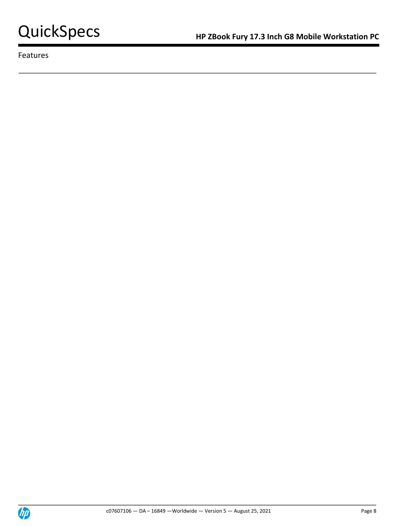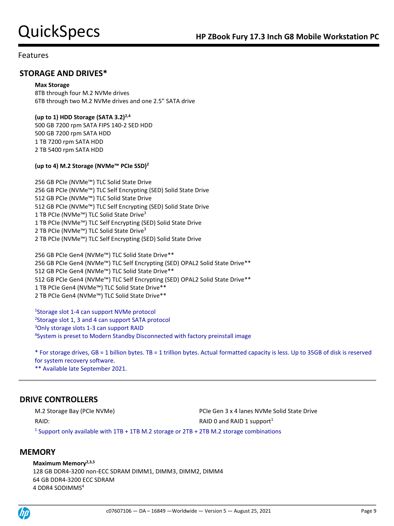## **STORAGE AND DRIVES\***

### **Max Storage**

8TB through four M.2 NVMe drives 6TB through two M.2 NVMe drives and one 2.5" SATA drive

### **(up to 1) HDD Storage (SATA 3.2)2,4**

500 GB 7200 rpm SATA FIPS 140-2 SED HDD 500 GB 7200 rpm SATA HDD 1 TB 7200 rpm SATA HDD 2 TB 5400 rpm SATA HDD

### **(up to 4) M.2 Storage (NVMe™ PCIe SSD)<sup>2</sup>**

256 GB PCIe (NVMe™) TLC Solid State Drive 256 GB PCIe (NVMe™) TLC Self Encrypting (SED) Solid State Drive 512 GB PCIe (NVMe™) TLC Solid State Drive 512 GB PCIe (NVMe™) TLC Self Encrypting (SED) Solid State Drive 1 TB PCIe (NVMe<sup>™</sup>) TLC Solid State Drive<sup>3</sup> 1 TB PCIe (NVMe™) TLC Self Encrypting (SED) Solid State Drive 2 TB PCIe (NVMe<sup>™</sup>) TLC Solid State Drive<sup>3</sup> 2 TB PCIe (NVMe™) TLC Self Encrypting (SED) Solid State Drive

256 GB PCIe Gen4 (NVMe™) TLC Solid State Drive\*\* 256 GB PCIe Gen4 (NVMe™) TLC Self Encrypting (SED) OPAL2 Solid State Drive\*\* GB PCIe Gen4 (NVMe™) TLC Solid State Drive\*\* GB PCIe Gen4 (NVMe™) TLC Self Encrypting (SED) OPAL2 Solid State Drive\*\* TB PCIe Gen4 (NVMe™) TLC Solid State Drive\*\* TB PCIe Gen4 (NVMe™) TLC Solid State Drive\*\*

<sup>1</sup>Storage slot 1-4 can support NVMe protocol <sup>2</sup>Storage slot 1, 3 and 4 can support SATA protocol <sup>3</sup>Only storage slots 1-3 can support RAID 4 System is preset to Modern Standby Disconnected with factory preinstall image

\* For storage drives, GB = 1 billion bytes. TB = 1 trillion bytes. Actual formatted capacity is less. Up to 35GB of disk is reserved for system recovery software. \*\* Available late September 2021.

## **DRIVE CONTROLLERS**

M.2 Storage Bay (PCIe NVMe) **PCIE Gen 3 x 4 lanes NVMe Solid State Drive** RAID: RAID: RAID 0 and RAID 1 support<sup>1</sup> <sup>1</sup> Support only available with 1TB + 1TB M.2 storage or 2TB + 2TB M.2 storage combinations

## **MEMORY**

**Maximum Memory2,3,5**

128 GB DDR4-3200 non-ECC SDRAM DIMM1, DIMM3, DIMM2, DIMM4 64 GB DDR4-3200 ECC SDRAM 4 DDR4 SODIMMS<sup>4</sup>

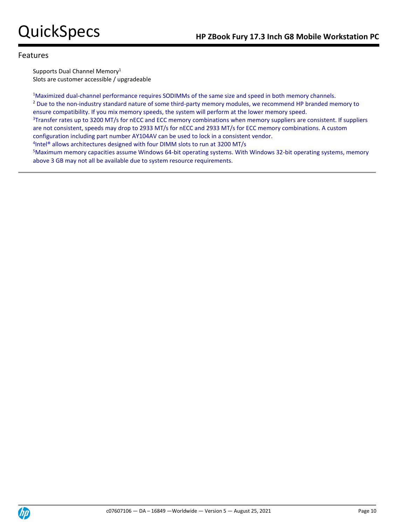Supports Dual Channel Memory<sup>1</sup> Slots are customer accessible / upgradeable

<sup>1</sup>Maximized dual-channel performance requires SODIMMs of the same size and speed in both memory channels. <sup>2</sup> Due to the non-industry standard nature of some third-party memory modules, we recommend HP branded memory to ensure compatibility. If you mix memory speeds, the system will perform at the lower memory speed. <sup>3</sup>Transfer rates up to 3200 MT/s for nECC and ECC memory combinations when memory suppliers are consistent. If suppliers are not consistent, speeds may drop to 2933 MT/s for nECC and 2933 MT/s for ECC memory combinations. A custom configuration including part number AY104AV can be used to lock in a consistent vendor. 4 Intel® allows architectures designed with four DIMM slots to run at 3200 MT/s <sup>5</sup>Maximum memory capacities assume Windows 64-bit operating systems. With Windows 32-bit operating systems, memory above 3 GB may not all be available due to system resource requirements.

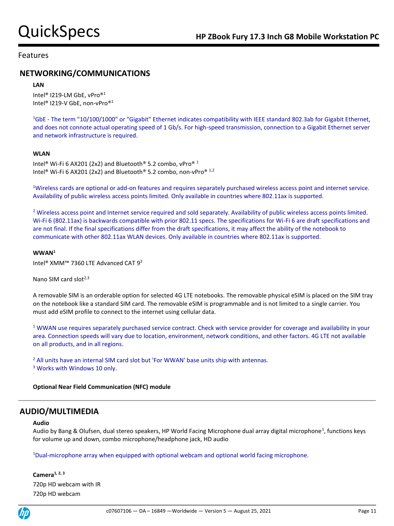## **NETWORKING/COMMUNICATIONS**

### **LAN**

Intel® I219-LM GbE, vPro® 1 Intel® I219-V GbE, non-vPro® 1

<sup>1</sup>GbE - The term "10/100/1000" or "Gigabit" Ethernet indicates compatibility with IEEE standard 802.3ab for Gigabit Ethernet, and does not connote actual operating speed of 1 Gb/s. For high-speed transmission, connection to a Gigabit Ethernet server and network infrastructure is required.

### **WLAN**

Intel® Wi-Fi 6 AX201 (2x2) and Bluetooth® 5.2 combo, vPro® 1 Intel® Wi-Fi 6 AX201 (2x2) and Bluetooth® 5.2 combo, non-vPro® 1,2

<sup>1</sup>Wireless cards are optional or add-on features and requires separately purchased wireless access point and internet service. Availability of public wireless access points limited. Only available in countries where 802.11ax is supported.

<sup>2</sup> Wireless access point and Internet service required and sold separately. Availability of public wireless access points limited. Wi-Fi 6 (802.11ax) is backwards compatible with prior 802.11 specs. The specifications for Wi-Fi 6 are draft specifications and are not final. If the final specifications differ from the draft specifications, it may affect the ability of the notebook to communicate with other 802.11ax WLAN devices. Only available in countries where 802.11ax is supported.

### **WWAN<sup>1</sup>**

Intel® XMM™ 7360 LTE Advanced CAT 9<sup>3</sup>

Nano SIM card slot $^{2,3}$ 

A removable SIM is an orderable option for selected 4G LTE notebooks. The removable physical eSIM is placed on the SIM tray on the notebook like a standard SIM card. The removable eSIM is programmable and is not limited to a single carrier. You must add eSIM profile to connect to the internet using cellular data.

 $1$  WWAN use requires separately purchased service contract. Check with service provider for coverage and availability in your area. Connection speeds will vary due to location, environment, network conditions, and other factors. 4G LTE not available on all products, and in all regions.

<sup>2</sup> All units have an internal SIM card slot but 'For WWAN' base units ship with antennas. <sup>3</sup> Works with Windows 10 only.

### **Optional Near Field Communication (NFC) module**

## **AUDIO/MULTIMEDIA**

### **Audio**

Audio by Bang & Olufsen, dual stereo speakers, HP World Facing Microphone dual array digital microphone<sup>1</sup>, functions keys for volume up and down, combo microphone/headphone jack, HD audio

<sup>1</sup>Dual-microphone array when equipped with optional webcam and optional world facing microphone.

**Camera1, 2, 3** 720p HD webcam with IR 720p HD webcam

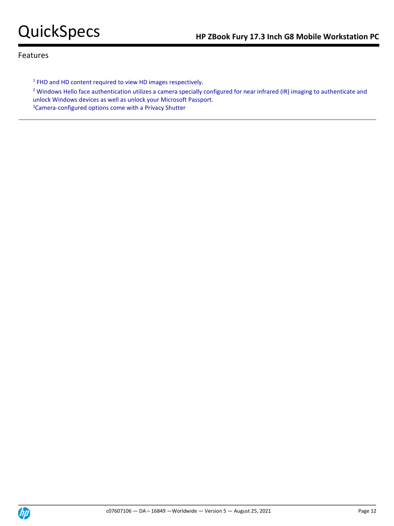<sup>1</sup> FHD and HD content required to view HD images respectively.

<sup>2</sup> Windows Hello face authentication utilizes a camera specially configured for near infrared (IR) imaging to authenticate and unlock Windows devices as well as unlock your Microsoft Passport. 3Camera-configured options come with a Privacy Shutter

**Chp**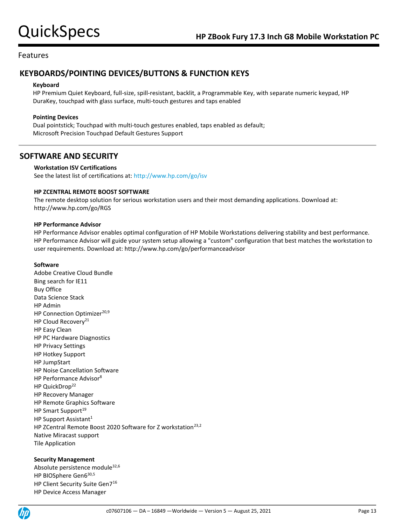# **KEYBOARDS/POINTING DEVICES/BUTTONS & FUNCTION KEYS**

### **Keyboard**

HP Premium Quiet Keyboard, full-size, spill-resistant, backlit, a Programmable Key, with separate numeric keypad, HP DuraKey, touchpad with glass surface, multi-touch gestures and taps enabled

### **Pointing Devices**

Dual pointstick; Touchpad with multi-touch gestures enabled, taps enabled as default; Microsoft Precision Touchpad Default Gestures Support

## **SOFTWARE AND SECURITY**

### **Workstation ISV Certifications**

See the latest list of certifications at[: http://www.hp.com/go/isv](http://www.hp.com/go/isv)

### **HP ZCENTRAL REMOTE BOOST SOFTWARE**

The remote desktop solution for serious workstation users and their most demanding applications. Download at: http://www.hp.com/go/RGS

### **HP Performance Advisor**

HP Performance Advisor enables optimal configuration of HP Mobile Workstations delivering stability and best performance. HP Performance Advisor will guide your system setup allowing a "custom" configuration that best matches the workstation to user requirements. Download at: http://www.hp.com/go/performanceadvisor

### **Software**

Adobe Creative Cloud Bundle Bing search for IE11 Buy Office Data Science Stack HP Admin HP Connection Optimizer<sup>20,9</sup> HP Cloud Recovery<sup>21</sup> HP Easy Clean HP PC Hardware Diagnostics HP Privacy Settings HP Hotkey Support HP JumpStart HP Noise Cancellation Software HP Performance Advisor<sup>8</sup> HP QuickDrop<sup>22</sup> HP Recovery Manager HP Remote Graphics Software HP Smart Support<sup>19</sup> HP Support Assistant<sup>1</sup> HP ZCentral Remote Boost 2020 Software for Z workstation<sup>23,2</sup> Native Miracast support Tile Application

### **Security Management**

Absolute persistence module<sup>32,6</sup> HP BIOSphere Gen6<sup>30,5</sup> HP Client Security Suite Gen7<sup>16</sup> HP Device Access Manager

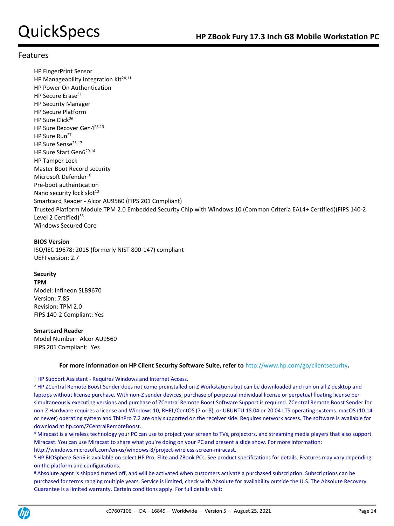HP FingerPrint Sensor HP Manageability Integration Kit<sup>24,11</sup> HP Power On Authentication HP Secure Erase<sup>31</sup> HP Security Manager HP Secure Platform HP Sure Click<sup>26</sup> HP Sure Recover Gen4<sup>28,13</sup> HP Sure Run<sup>27</sup> HP Sure Sense25,17 HP Sure Start Gen6<sup>29,14</sup> HP Tamper Lock Master Boot Record security Microsoft Defender<sup>10</sup> Pre-boot authentication Nano security lock slot<sup>12</sup> Smartcard Reader - Alcor AU9560 (FIPS 201 Compliant) Trusted Platform Module TPM 2.0 Embedded Security Chip with Windows 10 (Common Criteria EAL4+ Certified)(FIPS 140-2 Level 2 Certified) $33$ Windows Secured Core

### **BIOS Version**

ISO/IEC 19678: 2015 (formerly NIST 800-147) compliant UEFI version: 2.7

## **Security**

**TPM** Model: Infineon SLB9670 Version: 7.85 Revision: TPM 2.0 FIPS 140-2 Compliant: Yes

### **Smartcard Reader**

Model Number: Alcor AU9560 FIPS 201 Compliant: Yes

### **For more information on HP Client Security Software Suite, refer to** http://www.hp.com/go/clientsecurity**.**

<sup>1</sup> HP Support Assistant - Requires Windows and Internet Access.

<sup>2</sup> HP ZCentral Remote Boost Sender does not come preinstalled on Z Workstations but can be downloaded and run on all Z desktop and laptops without license purchase. With non-Z sender devices, purchase of perpetual individual license or perpetual floating license per simultaneously executing versions and purchase of ZCentral Remote Boost Software Support is required. ZCentral Remote Boost Sender for non-Z Hardware requires a license and Windows 10, RHEL/CentOS (7 or 8), or UBUNTU 18.04 or 20.04 LTS operating systems. macOS (10.14 or newer) operating system and ThinPro 7.2 are only supported on the receiver side. Requires network access. The software is available for download at hp.com/ZCentralRemoteBoost.

4 Miracast is a wireless technology your PC can use to project your screen to TVs, projectors, and streaming media players that also support Miracast. You can use Miracast to share what you're doing on your PC and present a slide show. For more information: http://windows.microsoft.com/en-us/windows-8/project-wireless-screen-miracast.

<sup>5</sup> HP BIOSphere Gen6 is available on select HP Pro, Elite and ZBook PCs. See product specifications for details. Features may vary depending on the platform and configurations.

<sup>6</sup> Absolute agent is shipped turned off, and will be activated when customers activate a purchased subscription. Subscriptions can be purchased for terms ranging multiple years. Service is limited, check with Absolute for availability outside the U.S. The Absolute Recovery Guarantee is a limited warranty. Certain conditions apply. For full details visit:

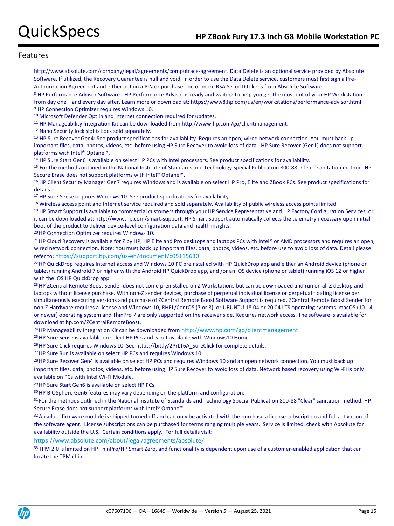http://www.absolute.com/company/legal/agreements/computrace-agreement. Data Delete is an optional service provided by Absolute Software. If utilized, the Recovery Guarantee is null and void. In order to use the Data Delete service, customers must first sign a Pre-Authorization Agreement and either obtain a PIN or purchase one or more RSA SecurID tokens from Absolute Software.

<sup>8</sup> HP Performance Advisor Software - HP Performance Advisor is ready and waiting to help you get the most out of your HP Workstation from day one—and every day after. Learn more or download at: https://www8.hp.com/us/en/workstations/performance-advisor.html <sup>9</sup> HP Connection Optimizer requires Windows 10.

<sup>10</sup> Microsoft Defender Opt in and internet connection required for updates.

<sup>11</sup> HP Manageability Integration Kit can be downloaded from http://www.hp.com/go/clientmanagement.

<sup>12</sup> Nano Security lock slot is Lock sold separately.

<sup>13</sup> HP Sure Recover Gen4: See product specifications for availability. Requires an open, wired network connection. You must back up important files, data, photos, videos, etc. before using HP Sure Recover to avoid loss of data. HP Sure Recover (Gen1) does not support platforms with Intel® Optane™.

<sup>14</sup> HP Sure Start Gen6 is available on select HP PCs with Intel processors. See product specifications for availability.

<sup>15</sup> For the methods outlined in the National Institute of Standards and Technology Special Publication 800-88 "Clear" sanitation method. HP Secure Erase does not support platforms with Intel® Optane™.

<sup>16</sup> HP Client Security Manager Gen7 requires Windows and is available on select HP Pro, Elite and ZBook PCs. See product specifications for details.

<sup>17</sup> HP Sure Sense requires Windows 10. See product specifications for availability.

18 Wireless access point and Internet service required and sold separately. Availability of public wireless access points limited.

19 HP Smart Support is available to commercial customers through your HP Service Representative and HP Factory Configuration Services; or it can be downloaded at: http://www.hp.com/smart-support. HP Smart Support automatically collects the telemetry necessary upon initial boot of the product to deliver device-level configuration data and health insights.

<sup>20</sup>HP Connection Optimizer requires Windows 10.

<sup>21</sup> HP Cloud Recovery is available for Z by HP, HP Elite and Pro desktops and laptops PCs with Intel® or AMD processors and requires an open, wired network connection. Note: You must back up important files, data, photos, videos, etc. before use to avoid loss of data. Detail please refer to: <https://support.hp.com/us-en/document/c05115630>

<sup>22</sup> HP QuickDrop requires Internet access and Windows 10 PC preinstalled with HP QuickDrop app and either an Android device (phone or tablet) running Android 7 or higher with the Android HP QuickDrop app, and /or an iOS device (phone or tablet) running iOS 12 or higher with the iOS HP QuickDrop app.

<sup>23</sup> HP ZCentral Remote Boost Sender does not come preinstalled on Z Workstations but can be downloaded and run on all Z desktop and laptops without license purchase. With non-Z sender devices, purchase of perpetual individual license or perpetual floating license per simultaneously executing versions and purchase of ZCentral Remote Boost Software Support is required. ZCentral Remote Boost Sender for non-Z Hardware requires a license and Windows 10, RHEL/CentOS (7 or 8), or UBUNTU 18.04 or 20.04 LTS operating systems. macOS (10.14 or newer) operating system and ThinPro 7 are only supported on the receiver side. Requires network access. The software is available for download at hp.com/ZCentralRemoteBoost.

<sup>24</sup> HP Manageability Integration Kit can be downloaded from <http://www.hp.com/go/clientmanagement>.

<sup>25</sup> HP Sure Sense is available on select HP PCs and is not available with Windows10 Home.

<sup>26</sup> HP Sure Click requires Windows 10. See https://bit.ly/2PrLT6A\_SureClick for complete details.

<sup>27</sup> HP Sure Run is available on select HP PCs and requires Windows 10.

<sup>28</sup> HP Sure Recover Gen4 is available on select HP PCs and requires Windows 10 and an open network connection. You must back up important files, data, photos, videos, etc. before using HP Sure Recover to avoid loss of data. Network based recovery using Wi-Fi is only available on PCs with Intel Wi-Fi Module.

<sup>29</sup>HP Sure Start Gen6 is available on select HP PCs.

<sup>30</sup> HP BIOSphere Gen6 features may vary depending on the platform and configuration.

<sup>31</sup> For the methods outlined in the National Institute of Standards and Technology Special Publication 800-88 "Clear" sanitation method. HP Secure Erase does not support platforms with Intel® Optane™.

32 Absolute firmware module is shipped turned off and can only be activated with the purchase a license subscription and full activation of the software agent. License subscriptions can be purchased for terms ranging multiple years. Service is limited, check with Absolute for availability outside the U.S. Certain conditions apply. For full details visit:

<https://www.absolute.com/about/legal/agreements/absolute/>.

33 TPM 2.0 is limited on HP ThinPro/HP Smart Zero, and functionality is dependent upon use of a customer-enabled application that can locate the TPM chip.

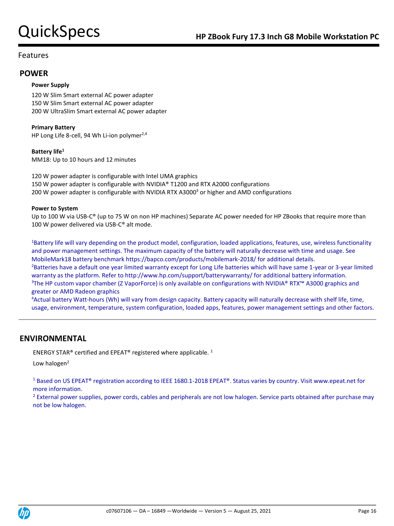## **POWER**

### **Power Supply**

120 W Slim Smart external AC power adapter 150 W Slim Smart external AC power adapter 200 W UltraSlim Smart external AC power adapter

### **Primary Battery**

HP Long Life 8-cell, 94 Wh Li-ion polymer<sup>2,4</sup>

### **Battery life<sup>1</sup>**

MM18: Up to 10 hours and 12 minutes

120 W power adapter is configurable with Intel UMA graphics 150 W power adapter is configurable with NVIDIA® T1200 and RTX A2000 configurations 200 W power adapter is configurable with NVIDIA RTX A3000<sup>3</sup> or higher and AMD configurations

### **Power to System**

Up to 100 W via USB-C® (up to 75 W on non HP machines) Separate AC power needed for HP ZBooks that require more than 100 W power delivered via USB-C® alt mode.

<sup>1</sup>Battery life will vary depending on the product model, configuration, loaded applications, features, use, wireless functionality and power management settings. The maximum capacity of the battery will naturally decrease with time and usage. See MobileMark18 battery benchmark https://bapco.com/products/mobilemark-2018/ for additional details. <sup>2</sup>Batteries have a default one year limited warranty except for Long Life batteries which will have same 1-year or 3-year limited warranty as the platform. Refer to http://www.hp.com/support/batterywarranty/ for additional battery information. <sup>3</sup>The HP custom vapor chamber (Z VaporForce) is only available on configurations with NVIDIA® RTX™ A3000 graphics and greater or AMD Radeon graphics

<sup>4</sup>Actual battery Watt-hours (Wh) will vary from design capacity. Battery capacity will naturally decrease with shelf life, time, usage, environment, temperature, system configuration, loaded apps, features, power management settings and other factors.

## **ENVIRONMENTAL**

ENERGY STAR® certified and EPEAT® registered where applicable. <sup>1</sup>

Low halogen $2$ 

<sup>1</sup> Based on US EPEAT® registration according to IEEE 1680.1-2018 EPEAT®. Status varies by country. Visit www.epeat.net for more information.

<sup>2</sup> External power supplies, power cords, cables and peripherals are not low halogen. Service parts obtained after purchase may not be low halogen.

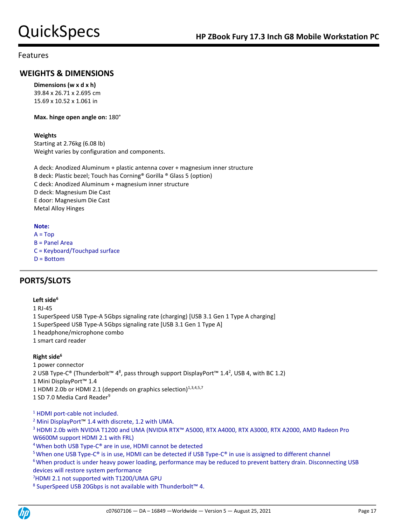# **WEIGHTS & DIMENSIONS**

**Dimensions (w x d x h)** 39.84 x 26.71 x 2.695 cm 15.69 x 10.52 x 1.061 in

**Max. hinge open angle on:** 180°

### **Weights**

Starting at 2.76kg (6.08 lb) Weight varies by configuration and components.

A deck: Anodized Aluminum + plastic antenna cover + magnesium inner structure B deck: Plastic bezel; Touch has Corning® Gorilla ® Glass 5 (option) C deck: Anodized Aluminum + magnesium inner structure D deck: Magnesium Die Cast E door: Magnesium Die Cast

Metal Alloy Hinges

### **Note:**

 $A = Top$ B = Panel Area C = Keyboard/Touchpad surface D = Bottom

# **PORTS/SLOTS**

### **Left side<sup>6</sup>**

1 RJ-45 1 SuperSpeed USB Type-A 5Gbps signaling rate (charging) [USB 3.1 Gen 1 Type A charging] 1 SuperSpeed USB Type-A 5Gbps signaling rate [USB 3.1 Gen 1 Type A] 1 headphone/microphone combo 1 smart card reader

### **Right side<sup>6</sup>**

1 power connector 2 USB Type-C® (Thunderbolt™ 4<sup>8</sup>, pass through support DisplayPort™ 1.4<sup>2</sup>, USB 4, with BC 1.2) 1 Mini DisplayPort™ 1.4 1 HDMI 2.0b or HDMI 2.1 (depends on graphics selection)<sup>1,3,4,5,7</sup> 1 SD 7.0 Media Card Reader<sup>9</sup>

<sup>1</sup> HDMI port-cable not included.

<sup>2</sup> Mini DisplayPort™ 1.4 with discrete, 1.2 with UMA.

<sup>3</sup> HDMI 2.0b with NVIDIA T1200 and UMA (NVIDIA RTX™ A5000, RTX A4000, RTX A3000, RTX A2000, AMD Radeon Pro W6600M support HDMI 2.1 with FRL)

<sup>4</sup>When both USB Type-C® are in use, HDMI cannot be detected

<sup>5</sup> When one USB Type-C® is in use, HDMI can be detected if USB Type-C® in use is assigned to different channel

<sup>6</sup> When product is under heavy power loading, performance may be reduced to prevent battery drain. Disconnecting USB devices will restore system performance

<sup>7</sup>HDMI 2.1 not supported with T1200/UMA GPU

<sup>8</sup> SuperSpeed USB 20Gbps is not available with Thunderbolt<sup>™</sup> 4.

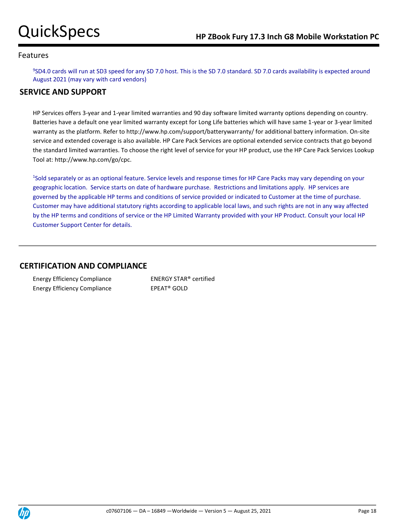9 SD4.0 cards will run at SD3 speed for any SD 7.0 host. This is the SD 7.0 standard. SD 7.0 cards availability is expected around August 2021 (may vary with card vendors)

# **SERVICE AND SUPPORT**

HP Services offers 3-year and 1-year limited warranties and 90 day software limited warranty options depending on country. Batteries have a default one year limited warranty except for Long Life batteries which will have same 1-year or 3-year limited warranty as the platform. Refer to http://www.hp.com/support/batterywarranty/ for additional battery information. On-site service and extended coverage is also available. HP Care Pack Services are optional extended service contracts that go beyond the standard limited warranties. To choose the right level of service for your HP product, use the HP Care Pack Services Lookup Tool at: http://www.hp.com/go/cpc.

<sup>1</sup>Sold separately or as an optional feature. Service levels and response times for HP Care Packs may vary depending on your geographic location. Service starts on date of hardware purchase. Restrictions and limitations apply. HP services are governed by the applicable HP terms and conditions of service provided or indicated to Customer at the time of purchase. Customer may have additional statutory rights according to applicable local laws, and such rights are not in any way affected by the HP terms and conditions of service or the HP Limited Warranty provided with your HP Product. Consult your local HP Customer Support Center for details.

## **CERTIFICATION AND COMPLIANCE**

| <b>Energy Efficiency Compliance</b> |  |
|-------------------------------------|--|
| <b>Energy Efficiency Compliance</b> |  |

Energy Efficiency Compliance ENERGY STAR® certified EPEAT® GOLD

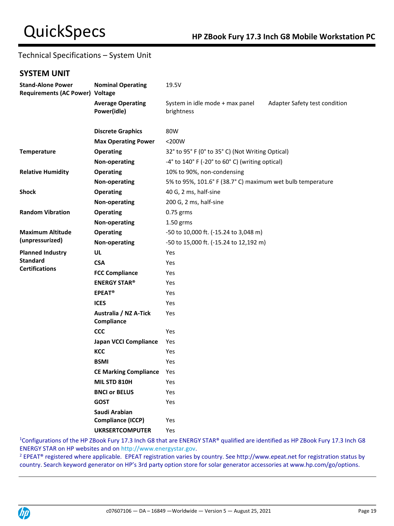# Technical Specifications – System Unit

## **SYSTEM UNIT**

| <b>Stand-Alone Power</b><br><b>Requirements (AC Power) Voltage</b>         | <b>Nominal Operating</b>                | 19.5V                                                                          |  |  |
|----------------------------------------------------------------------------|-----------------------------------------|--------------------------------------------------------------------------------|--|--|
|                                                                            | <b>Average Operating</b><br>Power(idle) | System in idle mode + max panel<br>Adapter Safety test condition<br>brightness |  |  |
|                                                                            | <b>Discrete Graphics</b>                | 80W                                                                            |  |  |
|                                                                            | <b>Max Operating Power</b>              | $<$ 200 $W$                                                                    |  |  |
| <b>Temperature</b>                                                         | <b>Operating</b>                        | 32° to 95° F (0° to 35° C) (Not Writing Optical)                               |  |  |
|                                                                            | Non-operating                           | -4° to 140° F (-20° to 60° C) (writing optical)                                |  |  |
| <b>Relative Humidity</b>                                                   | <b>Operating</b>                        | 10% to 90%, non-condensing                                                     |  |  |
|                                                                            | Non-operating                           | 5% to 95%, 101.6° F (38.7° C) maximum wet bulb temperature                     |  |  |
| <b>Shock</b>                                                               | <b>Operating</b>                        | 40 G, 2 ms, half-sine                                                          |  |  |
|                                                                            | Non-operating                           | 200 G, 2 ms, half-sine                                                         |  |  |
| <b>Random Vibration</b>                                                    | <b>Operating</b>                        | 0.75 grms                                                                      |  |  |
|                                                                            | Non-operating                           | $1.50$ grms                                                                    |  |  |
| <b>Maximum Altitude</b>                                                    | <b>Operating</b>                        | -50 to 10,000 ft. (-15.24 to 3,048 m)                                          |  |  |
| (unpressurized)<br>Non-operating<br>-50 to 15,000 ft. (-15.24 to 12,192 m) |                                         |                                                                                |  |  |
| <b>Planned Industry</b>                                                    | UL                                      | Yes                                                                            |  |  |
| <b>Standard</b>                                                            | <b>CSA</b>                              | Yes                                                                            |  |  |
| <b>Certifications</b>                                                      | <b>FCC Compliance</b>                   | Yes                                                                            |  |  |
|                                                                            | <b>ENERGY STAR®</b>                     | Yes                                                                            |  |  |
|                                                                            | <b>EPEAT<sup>®</sup></b>                | Yes                                                                            |  |  |
|                                                                            | <b>ICES</b>                             | Yes                                                                            |  |  |
|                                                                            | Australia / NZ A-Tick<br>Compliance     | Yes                                                                            |  |  |
|                                                                            | <b>CCC</b>                              | Yes                                                                            |  |  |
|                                                                            | <b>Japan VCCI Compliance</b>            | Yes                                                                            |  |  |
|                                                                            | KCC                                     | Yes                                                                            |  |  |
|                                                                            | <b>BSMI</b>                             | Yes                                                                            |  |  |
|                                                                            | <b>CE Marking Compliance</b>            | Yes                                                                            |  |  |
|                                                                            | <b>MIL STD 810H</b>                     | Yes                                                                            |  |  |
|                                                                            | <b>BNCI or BELUS</b>                    | Yes                                                                            |  |  |
|                                                                            | <b>GOST</b>                             | Yes                                                                            |  |  |
|                                                                            | Saudi Arabian<br>Compliance (ICCP)      | Yes                                                                            |  |  |
|                                                                            | <b>UKRSERTCOMPUTER</b>                  | Yes                                                                            |  |  |

<sup>1</sup>Configurations of the HP ZBook Fury 17.3 Inch G8 that are ENERGY STAR® qualified are identified as HP ZBook Fury 17.3 Inch G8 ENERGY STAR on HP websites and o[n http://www.energystar.gov.](http://www.energystar.gov/)

<sup>2</sup> EPEAT<sup>®</sup> registered where applicable. EPEAT registration varies by country. See http://www.epeat.net for registration status by country. Search keyword generator on HP's 3rd party option store for solar generator accessories at www.hp.com/go/options.

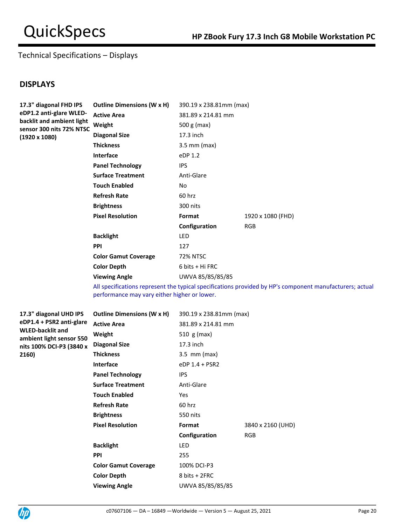# Technical Specifications – Displays

## **DISPLAYS**

| 17.3" diagonal FHD IPS                                | <b>Outline Dimensions (W x H)</b> | 390.19 x 238.81mm (max) |                   |
|-------------------------------------------------------|-----------------------------------|-------------------------|-------------------|
| eDP1.2 anti-glare WLED-                               | <b>Active Area</b>                | 381.89 x 214.81 mm      |                   |
| backlit and ambient light<br>sensor 300 nits 72% NTSC | Weight                            | 500 g (max)             |                   |
| $(1920 \times 1080)$                                  | <b>Diagonal Size</b>              | 17.3 inch               |                   |
|                                                       | <b>Thickness</b>                  | $3.5$ mm (max)          |                   |
|                                                       | <b>Interface</b>                  | eDP 1.2                 |                   |
|                                                       | <b>Panel Technology</b>           | IPS.                    |                   |
|                                                       | <b>Surface Treatment</b>          | Anti-Glare              |                   |
|                                                       | <b>Touch Enabled</b>              | No                      |                   |
|                                                       | <b>Refresh Rate</b>               | 60 hrz                  |                   |
|                                                       | <b>Brightness</b>                 | 300 nits                |                   |
|                                                       | <b>Pixel Resolution</b>           | Format                  | 1920 x 1080 (FHD) |
|                                                       |                                   | Configuration           | <b>RGB</b>        |
|                                                       | <b>Backlight</b>                  | LED                     |                   |
|                                                       | <b>PPI</b>                        | 127                     |                   |
|                                                       | <b>Color Gamut Coverage</b>       | 72% NTSC                |                   |
|                                                       | <b>Color Depth</b>                | 6 bits + Hi FRC         |                   |
|                                                       | <b>Viewing Angle</b>              | UWVA 85/85/85/85        |                   |

All specifications represent the typical specifications provided by HP's component manufacturers; actual performance may vary either higher or lower.

| 17.3" diagonal UHD IPS                              | <b>Outline Dimensions (W x H)</b> | 390.19 x 238.81mm (max) |                   |
|-----------------------------------------------------|-----------------------------------|-------------------------|-------------------|
| eDP1.4 + PSR2 anti-glare                            | <b>Active Area</b>                | 381.89 x 214.81 mm      |                   |
| <b>WLED-backlit and</b><br>ambient light sensor 550 | Weight                            | 510 $g$ (max)           |                   |
| nits 100% DCI-P3 (3840 x                            | <b>Diagonal Size</b>              | 17.3 inch               |                   |
| 2160)                                               | <b>Thickness</b>                  | $3.5$ mm (max)          |                   |
|                                                     | <b>Interface</b>                  | eDP 1.4 + PSR2          |                   |
|                                                     | <b>Panel Technology</b>           | <b>IPS</b>              |                   |
|                                                     | <b>Surface Treatment</b>          | Anti-Glare              |                   |
|                                                     | <b>Touch Enabled</b>              | <b>Yes</b>              |                   |
|                                                     | <b>Refresh Rate</b>               | 60 hrz                  |                   |
|                                                     | <b>Brightness</b>                 | 550 nits                |                   |
|                                                     | <b>Pixel Resolution</b>           | Format                  | 3840 x 2160 (UHD) |
|                                                     |                                   | Configuration           | <b>RGB</b>        |
|                                                     | <b>Backlight</b>                  | <b>LED</b>              |                   |
|                                                     | <b>PPI</b>                        | 255                     |                   |
|                                                     | <b>Color Gamut Coverage</b>       | 100% DCI-P3             |                   |
|                                                     | <b>Color Depth</b>                | 8 bits + 2FRC           |                   |
|                                                     | <b>Viewing Angle</b>              | UWVA 85/85/85/85        |                   |

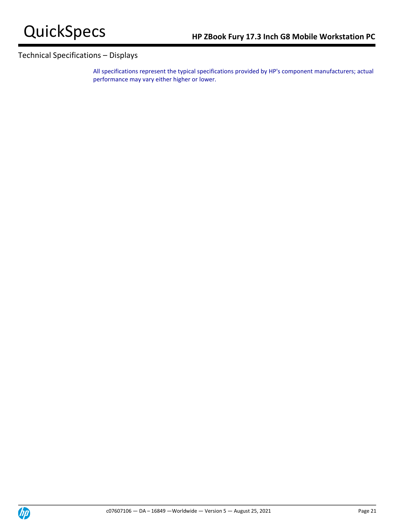# Technical Specifications – Displays

All specifications represent the typical specifications provided by HP's component manufacturers; actual performance may vary either higher or lower.

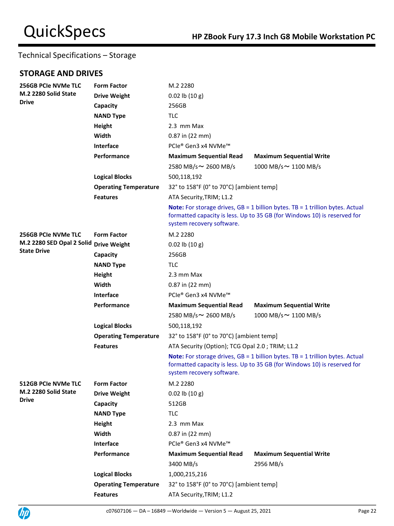## **STORAGE AND DRIVES**

| 256GB PCIe NVMe TLC                  | <b>Form Factor</b>           | M.2 2280                                                                                                                                                                                        |                                 |  |
|--------------------------------------|------------------------------|-------------------------------------------------------------------------------------------------------------------------------------------------------------------------------------------------|---------------------------------|--|
| M.2 2280 Solid State<br><b>Drive</b> | <b>Drive Weight</b>          | $0.02$ lb $(10 g)$                                                                                                                                                                              |                                 |  |
|                                      | Capacity                     | 256GB                                                                                                                                                                                           |                                 |  |
|                                      | <b>NAND Type</b>             | <b>TLC</b>                                                                                                                                                                                      |                                 |  |
|                                      | Height                       | 2.3 mm Max                                                                                                                                                                                      |                                 |  |
|                                      | Width                        | 0.87 in (22 mm)                                                                                                                                                                                 |                                 |  |
|                                      | <b>Interface</b>             | PCIe® Gen3 x4 NVMe™                                                                                                                                                                             |                                 |  |
|                                      | Performance                  | <b>Maximum Sequential Read</b>                                                                                                                                                                  | <b>Maximum Sequential Write</b> |  |
|                                      |                              | 2580 MB/s~ 2600 MB/s                                                                                                                                                                            | 1000 MB/s ~ 1100 MB/s           |  |
|                                      | <b>Logical Blocks</b>        | 500,118,192                                                                                                                                                                                     |                                 |  |
|                                      | <b>Operating Temperature</b> | 32° to 158°F (0° to 70°C) [ambient temp]                                                                                                                                                        |                                 |  |
|                                      | <b>Features</b>              | ATA Security, TRIM; L1.2                                                                                                                                                                        |                                 |  |
|                                      |                              | <b>Note:</b> For storage drives, $GB = 1$ billion bytes. TB = 1 trillion bytes. Actual<br>formatted capacity is less. Up to 35 GB (for Windows 10) is reserved for<br>system recovery software. |                                 |  |
| 256GB PCIe NVMe TLC                  | <b>Form Factor</b>           | M.2 2280                                                                                                                                                                                        |                                 |  |
| M.2 2280 SED Opal 2 Solid            | <b>Drive Weight</b>          | $0.02$ lb $(10 g)$                                                                                                                                                                              |                                 |  |
| <b>State Drive</b>                   | Capacity                     | 256GB                                                                                                                                                                                           |                                 |  |
|                                      | <b>NAND Type</b>             | <b>TLC</b>                                                                                                                                                                                      |                                 |  |
|                                      | Height                       | 2.3 mm Max                                                                                                                                                                                      |                                 |  |
|                                      | Width                        | $0.87$ in (22 mm)                                                                                                                                                                               |                                 |  |
|                                      | Interface                    | PCIe® Gen3 x4 NVMe™                                                                                                                                                                             |                                 |  |
|                                      | Performance                  | <b>Maximum Sequential Read</b>                                                                                                                                                                  | <b>Maximum Sequential Write</b> |  |
|                                      |                              | 2580 MB/s~ 2600 MB/s                                                                                                                                                                            | 1000 MB/s $\sim$ 1100 MB/s      |  |
|                                      | <b>Logical Blocks</b>        | 500,118,192                                                                                                                                                                                     |                                 |  |
|                                      | <b>Operating Temperature</b> | 32° to 158°F (0° to 70°C) [ambient temp]                                                                                                                                                        |                                 |  |
|                                      | <b>Features</b>              | ATA Security (Option); TCG Opal 2.0; TRIM; L1.2                                                                                                                                                 |                                 |  |
|                                      |                              | Note: For storage drives, GB = 1 billion bytes. TB = 1 trillion bytes. Actual<br>formatted capacity is less. Up to 35 GB (for Windows 10) is reserved for<br>system recovery software.          |                                 |  |
| <b>512GB PCIe NVMe TLC</b>           | <b>Form Factor</b>           | M.2 2280                                                                                                                                                                                        |                                 |  |
| M.2 2280 Solid State                 | <b>Drive Weight</b>          | $0.02$ lb $(10 g)$                                                                                                                                                                              |                                 |  |
| <b>Drive</b>                         | Capacity                     | 512GB                                                                                                                                                                                           |                                 |  |
|                                      | <b>NAND Type</b>             | <b>TLC</b>                                                                                                                                                                                      |                                 |  |
|                                      | Height                       | 2.3 mm Max                                                                                                                                                                                      |                                 |  |
|                                      | Width                        | 0.87 in (22 mm)                                                                                                                                                                                 |                                 |  |
|                                      | Interface                    | PCIe® Gen3 x4 NVMe™                                                                                                                                                                             |                                 |  |
|                                      | Performance                  | <b>Maximum Sequential Read</b>                                                                                                                                                                  | <b>Maximum Sequential Write</b> |  |
|                                      |                              | 3400 MB/s                                                                                                                                                                                       | 2956 MB/s                       |  |
|                                      | <b>Logical Blocks</b>        | 1,000,215,216                                                                                                                                                                                   |                                 |  |
|                                      | <b>Operating Temperature</b> | 32° to 158°F (0° to 70°C) [ambient temp]                                                                                                                                                        |                                 |  |
|                                      | <b>Features</b>              | ATA Security, TRIM; L1.2                                                                                                                                                                        |                                 |  |

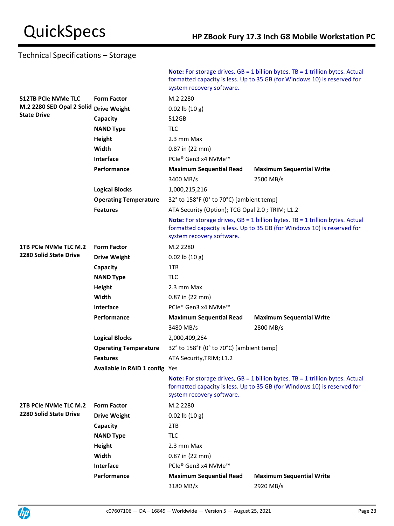|                                                        |                                | system recovery software.                                                                                                                                                                       | <b>Note:</b> For storage drives, $GB = 1$ billion bytes. TB = 1 trillion bytes. Actual<br>formatted capacity is less. Up to 35 GB (for Windows 10) is reserved for |  |
|--------------------------------------------------------|--------------------------------|-------------------------------------------------------------------------------------------------------------------------------------------------------------------------------------------------|--------------------------------------------------------------------------------------------------------------------------------------------------------------------|--|
| <b>512TB PCIe NVMe TLC</b>                             | <b>Form Factor</b>             | M.2 2280                                                                                                                                                                                        |                                                                                                                                                                    |  |
| M.2 2280 SED Opal 2 Solid                              | <b>Drive Weight</b>            | $0.02$ lb $(10 g)$                                                                                                                                                                              |                                                                                                                                                                    |  |
| <b>State Drive</b>                                     | Capacity                       | 512GB                                                                                                                                                                                           |                                                                                                                                                                    |  |
|                                                        | <b>NAND Type</b>               | <b>TLC</b>                                                                                                                                                                                      |                                                                                                                                                                    |  |
|                                                        | Height                         | 2.3 mm Max                                                                                                                                                                                      |                                                                                                                                                                    |  |
|                                                        | Width                          | 0.87 in (22 mm)                                                                                                                                                                                 |                                                                                                                                                                    |  |
|                                                        | <b>Interface</b>               | PCle® Gen3 x4 NVMe™                                                                                                                                                                             |                                                                                                                                                                    |  |
|                                                        | Performance                    | <b>Maximum Sequential Read</b>                                                                                                                                                                  | <b>Maximum Sequential Write</b>                                                                                                                                    |  |
|                                                        |                                | 3400 MB/s                                                                                                                                                                                       | 2500 MB/s                                                                                                                                                          |  |
|                                                        | <b>Logical Blocks</b>          | 1,000,215,216                                                                                                                                                                                   |                                                                                                                                                                    |  |
|                                                        | <b>Operating Temperature</b>   | 32° to 158°F (0° to 70°C) [ambient temp]                                                                                                                                                        |                                                                                                                                                                    |  |
|                                                        | <b>Features</b>                | ATA Security (Option); TCG Opal 2.0; TRIM; L1.2                                                                                                                                                 |                                                                                                                                                                    |  |
|                                                        |                                | <b>Note:</b> For storage drives, $GB = 1$ billion bytes. TB = 1 trillion bytes. Actual<br>formatted capacity is less. Up to 35 GB (for Windows 10) is reserved for<br>system recovery software. |                                                                                                                                                                    |  |
| 1TB PCIe NVMe TLC M.2<br><b>2280 Solid State Drive</b> | <b>Form Factor</b>             | M.2 2280                                                                                                                                                                                        |                                                                                                                                                                    |  |
|                                                        | <b>Drive Weight</b>            | $0.02$ lb $(10 g)$                                                                                                                                                                              |                                                                                                                                                                    |  |
|                                                        | Capacity                       | 1TB                                                                                                                                                                                             |                                                                                                                                                                    |  |
|                                                        | <b>NAND Type</b>               | TLC                                                                                                                                                                                             |                                                                                                                                                                    |  |
|                                                        | Height                         | 2.3 mm Max                                                                                                                                                                                      |                                                                                                                                                                    |  |
|                                                        | Width                          | $0.87$ in (22 mm)                                                                                                                                                                               |                                                                                                                                                                    |  |
|                                                        | Interface                      | PCle® Gen3 x4 NVMe™                                                                                                                                                                             |                                                                                                                                                                    |  |
|                                                        | Performance                    | <b>Maximum Sequential Read</b>                                                                                                                                                                  | <b>Maximum Sequential Write</b>                                                                                                                                    |  |
|                                                        |                                | 3480 MB/s                                                                                                                                                                                       | 2800 MB/s                                                                                                                                                          |  |
|                                                        | <b>Logical Blocks</b>          | 2,000,409,264                                                                                                                                                                                   |                                                                                                                                                                    |  |
|                                                        | <b>Operating Temperature</b>   | 32° to 158°F (0° to 70°C) [ambient temp]                                                                                                                                                        |                                                                                                                                                                    |  |
|                                                        | <b>Features</b>                | ATA Security, TRIM; L1.2                                                                                                                                                                        |                                                                                                                                                                    |  |
|                                                        | Available in RAID 1 config Yes |                                                                                                                                                                                                 |                                                                                                                                                                    |  |
|                                                        |                                | <b>Note:</b> For storage drives, $GB = 1$ billion bytes. TB = 1 trillion bytes. Actual<br>formatted capacity is less. Up to 35 GB (for Windows 10) is reserved for<br>system recovery software. |                                                                                                                                                                    |  |
| 2TB PCIe NVMe TLC M.2                                  | <b>Form Factor</b>             | M.2 2280                                                                                                                                                                                        |                                                                                                                                                                    |  |
| <b>2280 Solid State Drive</b>                          | <b>Drive Weight</b>            | $0.02$ lb $(10 g)$                                                                                                                                                                              |                                                                                                                                                                    |  |
|                                                        | Capacity                       | 2TB                                                                                                                                                                                             |                                                                                                                                                                    |  |
|                                                        | <b>NAND Type</b>               | <b>TLC</b>                                                                                                                                                                                      |                                                                                                                                                                    |  |
|                                                        | Height                         | 2.3 mm Max                                                                                                                                                                                      |                                                                                                                                                                    |  |
|                                                        | Width                          | $0.87$ in $(22$ mm)                                                                                                                                                                             |                                                                                                                                                                    |  |
|                                                        | Interface                      | PCIe® Gen3 x4 NVMe™                                                                                                                                                                             |                                                                                                                                                                    |  |
|                                                        | Performance                    | <b>Maximum Sequential Read</b>                                                                                                                                                                  | <b>Maximum Sequential Write</b>                                                                                                                                    |  |
|                                                        |                                | 3180 MB/s                                                                                                                                                                                       | 2920 MB/s                                                                                                                                                          |  |

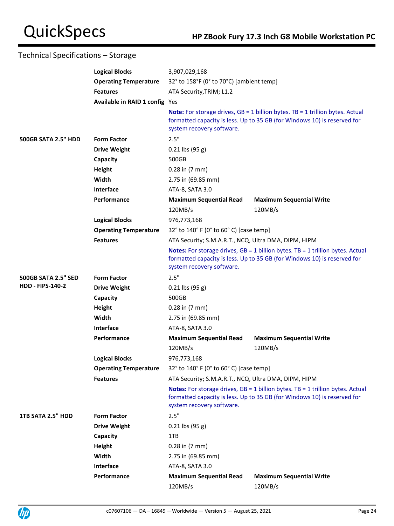|                            | <b>Logical Blocks</b>          | 3,907,029,168                                                                                                                                                                                    |                                                                                                                                                                    |  |
|----------------------------|--------------------------------|--------------------------------------------------------------------------------------------------------------------------------------------------------------------------------------------------|--------------------------------------------------------------------------------------------------------------------------------------------------------------------|--|
|                            | <b>Operating Temperature</b>   | 32° to 158°F (0° to 70°C) [ambient temp]                                                                                                                                                         |                                                                                                                                                                    |  |
|                            | <b>Features</b>                | ATA Security, TRIM; L1.2                                                                                                                                                                         |                                                                                                                                                                    |  |
|                            | Available in RAID 1 config Yes |                                                                                                                                                                                                  |                                                                                                                                                                    |  |
|                            |                                | system recovery software.                                                                                                                                                                        | <b>Note:</b> For storage drives, $GB = 1$ billion bytes. TB = 1 trillion bytes. Actual<br>formatted capacity is less. Up to 35 GB (for Windows 10) is reserved for |  |
| <b>500GB SATA 2.5" HDD</b> | <b>Form Factor</b>             | 2.5"                                                                                                                                                                                             |                                                                                                                                                                    |  |
|                            | <b>Drive Weight</b>            | $0.21$ lbs (95 g)                                                                                                                                                                                |                                                                                                                                                                    |  |
|                            | Capacity                       | 500GB                                                                                                                                                                                            |                                                                                                                                                                    |  |
|                            | Height                         | $0.28$ in $(7 \text{ mm})$                                                                                                                                                                       |                                                                                                                                                                    |  |
|                            | Width                          | 2.75 in (69.85 mm)                                                                                                                                                                               |                                                                                                                                                                    |  |
|                            | Interface                      | ATA-8, SATA 3.0                                                                                                                                                                                  |                                                                                                                                                                    |  |
|                            | Performance                    | <b>Maximum Sequential Read</b>                                                                                                                                                                   | <b>Maximum Sequential Write</b>                                                                                                                                    |  |
|                            |                                | 120MB/s                                                                                                                                                                                          | 120MB/s                                                                                                                                                            |  |
|                            | <b>Logical Blocks</b>          | 976,773,168                                                                                                                                                                                      |                                                                                                                                                                    |  |
|                            | <b>Operating Temperature</b>   | 32° to 140° F (0° to 60° C) [case temp]                                                                                                                                                          |                                                                                                                                                                    |  |
|                            | <b>Features</b>                | ATA Security; S.M.A.R.T., NCQ, Ultra DMA, DIPM, HIPM                                                                                                                                             |                                                                                                                                                                    |  |
|                            |                                | <b>Notes:</b> For storage drives, $GB = 1$ billion bytes. TB = 1 trillion bytes. Actual<br>formatted capacity is less. Up to 35 GB (for Windows 10) is reserved for<br>system recovery software. |                                                                                                                                                                    |  |
| <b>500GB SATA 2.5" SED</b> | <b>Form Factor</b>             | 2.5"                                                                                                                                                                                             |                                                                                                                                                                    |  |
| <b>HDD - FIPS-140-2</b>    | <b>Drive Weight</b>            | $0.21$ lbs (95 g)                                                                                                                                                                                |                                                                                                                                                                    |  |
|                            | Capacity                       | 500GB                                                                                                                                                                                            |                                                                                                                                                                    |  |
|                            | Height                         | $0.28$ in $(7 \text{ mm})$                                                                                                                                                                       |                                                                                                                                                                    |  |
|                            | Width                          | 2.75 in (69.85 mm)                                                                                                                                                                               |                                                                                                                                                                    |  |
|                            | Interface                      | ATA-8, SATA 3.0                                                                                                                                                                                  |                                                                                                                                                                    |  |
|                            | Performance                    | <b>Maximum Sequential Read</b>                                                                                                                                                                   | <b>Maximum Sequential Write</b>                                                                                                                                    |  |
|                            |                                | 120MB/s                                                                                                                                                                                          | 120MB/s                                                                                                                                                            |  |
|                            | <b>Logical Blocks</b>          | 976,773,168                                                                                                                                                                                      |                                                                                                                                                                    |  |
|                            | <b>Operating Temperature</b>   | 32° to 140° F (0° to 60° C) [case temp]                                                                                                                                                          |                                                                                                                                                                    |  |
|                            | <b>Features</b>                | ATA Security; S.M.A.R.T., NCQ, Ultra DMA, DIPM, HIPM                                                                                                                                             |                                                                                                                                                                    |  |
|                            |                                | <b>Notes:</b> For storage drives, $GB = 1$ billion bytes. TB = 1 trillion bytes. Actual<br>formatted capacity is less. Up to 35 GB (for Windows 10) is reserved for<br>system recovery software. |                                                                                                                                                                    |  |
| 1TB SATA 2.5" HDD          | <b>Form Factor</b>             | 2.5"                                                                                                                                                                                             |                                                                                                                                                                    |  |
|                            | <b>Drive Weight</b>            | $0.21$ lbs $(95 g)$                                                                                                                                                                              |                                                                                                                                                                    |  |
|                            | Capacity                       | 1TB                                                                                                                                                                                              |                                                                                                                                                                    |  |
|                            | Height                         | $0.28$ in $(7 \text{ mm})$                                                                                                                                                                       |                                                                                                                                                                    |  |
|                            | Width                          | 2.75 in (69.85 mm)                                                                                                                                                                               |                                                                                                                                                                    |  |
|                            | Interface                      | ATA-8, SATA 3.0                                                                                                                                                                                  |                                                                                                                                                                    |  |
|                            | Performance                    | <b>Maximum Sequential Read</b>                                                                                                                                                                   | <b>Maximum Sequential Write</b>                                                                                                                                    |  |
|                            |                                | 120MB/s                                                                                                                                                                                          | 120MB/s                                                                                                                                                            |  |

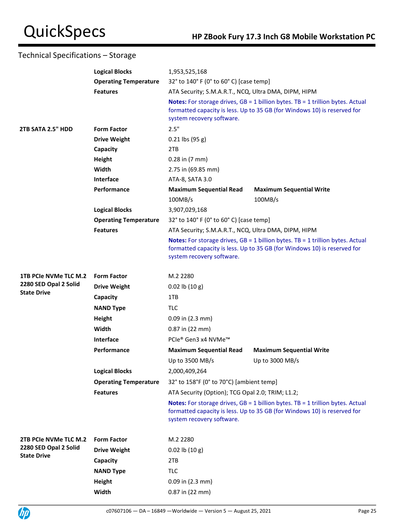|                       | <b>Logical Blocks</b>        | 1,953,525,168                                                                                                                                                                                    |                                                                                                                                                                     |  |
|-----------------------|------------------------------|--------------------------------------------------------------------------------------------------------------------------------------------------------------------------------------------------|---------------------------------------------------------------------------------------------------------------------------------------------------------------------|--|
|                       | <b>Operating Temperature</b> | 32° to 140° F (0° to 60° C) [case temp]                                                                                                                                                          |                                                                                                                                                                     |  |
|                       | <b>Features</b>              | ATA Security; S.M.A.R.T., NCQ, Ultra DMA, DIPM, HIPM                                                                                                                                             |                                                                                                                                                                     |  |
|                       |                              | system recovery software.                                                                                                                                                                        | <b>Notes:</b> For storage drives, $GB = 1$ billion bytes. TB = 1 trillion bytes. Actual<br>formatted capacity is less. Up to 35 GB (for Windows 10) is reserved for |  |
| 2TB SATA 2.5" HDD     | <b>Form Factor</b>           | 2.5"                                                                                                                                                                                             |                                                                                                                                                                     |  |
|                       | <b>Drive Weight</b>          | $0.21$ lbs (95 g)                                                                                                                                                                                |                                                                                                                                                                     |  |
|                       | Capacity                     | 2TB                                                                                                                                                                                              |                                                                                                                                                                     |  |
|                       | Height                       | $0.28$ in $(7 \text{ mm})$                                                                                                                                                                       |                                                                                                                                                                     |  |
|                       | Width                        | 2.75 in (69.85 mm)                                                                                                                                                                               |                                                                                                                                                                     |  |
|                       | Interface                    | ATA-8, SATA 3.0                                                                                                                                                                                  |                                                                                                                                                                     |  |
|                       | Performance                  | <b>Maximum Sequential Read</b>                                                                                                                                                                   | <b>Maximum Sequential Write</b>                                                                                                                                     |  |
|                       |                              | 100MB/s                                                                                                                                                                                          | 100MB/s                                                                                                                                                             |  |
|                       | <b>Logical Blocks</b>        | 3,907,029,168                                                                                                                                                                                    |                                                                                                                                                                     |  |
|                       | <b>Operating Temperature</b> | 32° to 140° F (0° to 60° C) [case temp]                                                                                                                                                          |                                                                                                                                                                     |  |
|                       | <b>Features</b>              | ATA Security; S.M.A.R.T., NCQ, Ultra DMA, DIPM, HIPM                                                                                                                                             |                                                                                                                                                                     |  |
|                       |                              | <b>Notes:</b> For storage drives, $GB = 1$ billion bytes. TB = 1 trillion bytes. Actual<br>formatted capacity is less. Up to 35 GB (for Windows 10) is reserved for<br>system recovery software. |                                                                                                                                                                     |  |
| 1TB PCIe NVMe TLC M.2 | <b>Form Factor</b>           | M.2 2280                                                                                                                                                                                         |                                                                                                                                                                     |  |
| 2280 SED Opal 2 Solid | <b>Drive Weight</b>          | $0.02$ lb $(10 g)$                                                                                                                                                                               |                                                                                                                                                                     |  |
| <b>State Drive</b>    | Capacity                     | 1TB                                                                                                                                                                                              |                                                                                                                                                                     |  |
|                       | <b>NAND Type</b>             | <b>TLC</b>                                                                                                                                                                                       |                                                                                                                                                                     |  |
|                       | Height                       | $0.09$ in $(2.3$ mm)                                                                                                                                                                             |                                                                                                                                                                     |  |
|                       | Width                        | $0.87$ in (22 mm)                                                                                                                                                                                |                                                                                                                                                                     |  |
|                       | Interface                    | PCIe® Gen3 x4 NVMe™                                                                                                                                                                              |                                                                                                                                                                     |  |
|                       | Performance                  | <b>Maximum Sequential Read</b>                                                                                                                                                                   | <b>Maximum Sequential Write</b>                                                                                                                                     |  |
|                       |                              | Up to 3500 MB/s                                                                                                                                                                                  | Up to $3000$ MB/s                                                                                                                                                   |  |
|                       | <b>Logical Blocks</b>        | 2,000,409,264                                                                                                                                                                                    |                                                                                                                                                                     |  |
|                       | <b>Operating Temperature</b> | 32° to 158°F (0° to 70°C) [ambient temp]                                                                                                                                                         |                                                                                                                                                                     |  |
|                       | <b>Features</b>              | ATA Security (Option); TCG Opal 2.0; TRIM; L1.2;                                                                                                                                                 |                                                                                                                                                                     |  |
|                       |                              | system recovery software.                                                                                                                                                                        | <b>Notes:</b> For storage drives, $GB = 1$ billion bytes. TB = 1 trillion bytes. Actual<br>formatted capacity is less. Up to 35 GB (for Windows 10) is reserved for |  |
| 2TB PCIe NVMe TLC M.2 | <b>Form Factor</b>           | M.2 2280                                                                                                                                                                                         |                                                                                                                                                                     |  |
| 2280 SED Opal 2 Solid | <b>Drive Weight</b>          | $0.02$ lb $(10 g)$                                                                                                                                                                               |                                                                                                                                                                     |  |
| <b>State Drive</b>    | Capacity                     | 2TB                                                                                                                                                                                              |                                                                                                                                                                     |  |
|                       | <b>NAND Type</b>             | <b>TLC</b>                                                                                                                                                                                       |                                                                                                                                                                     |  |
|                       | Height                       | $0.09$ in $(2.3$ mm)                                                                                                                                                                             |                                                                                                                                                                     |  |
|                       | Width                        | 0.87 in (22 mm)                                                                                                                                                                                  |                                                                                                                                                                     |  |

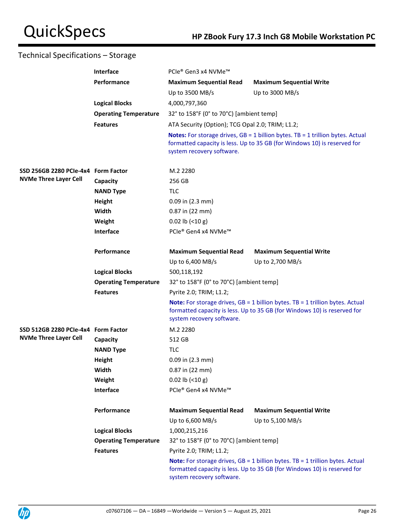|                                     | Interface                    | PCIe® Gen3 x4 NVMe™                                                                                                                                                                    |                                                                                                                                                                     |  |
|-------------------------------------|------------------------------|----------------------------------------------------------------------------------------------------------------------------------------------------------------------------------------|---------------------------------------------------------------------------------------------------------------------------------------------------------------------|--|
| Performance                         |                              | <b>Maximum Sequential Read</b>                                                                                                                                                         | <b>Maximum Sequential Write</b>                                                                                                                                     |  |
|                                     |                              | Up to 3500 MB/s                                                                                                                                                                        | Up to $3000$ MB/s                                                                                                                                                   |  |
|                                     | <b>Logical Blocks</b>        | 4,000,797,360                                                                                                                                                                          |                                                                                                                                                                     |  |
|                                     | <b>Operating Temperature</b> | 32° to 158°F (0° to 70°C) [ambient temp]                                                                                                                                               |                                                                                                                                                                     |  |
|                                     | <b>Features</b>              | ATA Security (Option); TCG Opal 2.0; TRIM; L1.2;                                                                                                                                       |                                                                                                                                                                     |  |
|                                     |                              | system recovery software.                                                                                                                                                              | <b>Notes:</b> For storage drives, $GB = 1$ billion bytes. TB = 1 trillion bytes. Actual<br>formatted capacity is less. Up to 35 GB (for Windows 10) is reserved for |  |
| SSD 256GB 2280 PCIe-4x4 Form Factor |                              | M.2 2280                                                                                                                                                                               |                                                                                                                                                                     |  |
| <b>NVMe Three Layer Cell</b>        | Capacity                     | 256 GB                                                                                                                                                                                 |                                                                                                                                                                     |  |
|                                     | <b>NAND Type</b>             | <b>TLC</b>                                                                                                                                                                             |                                                                                                                                                                     |  |
|                                     | <b>Height</b>                | $0.09$ in $(2.3$ mm)                                                                                                                                                                   |                                                                                                                                                                     |  |
|                                     | Width                        | 0.87 in (22 mm)                                                                                                                                                                        |                                                                                                                                                                     |  |
|                                     | Weight                       | $0.02$ lb (<10 g)                                                                                                                                                                      |                                                                                                                                                                     |  |
|                                     | <b>Interface</b>             | PCIe® Gen4 x4 NVMe™                                                                                                                                                                    |                                                                                                                                                                     |  |
|                                     | Performance                  | <b>Maximum Sequential Read</b>                                                                                                                                                         | <b>Maximum Sequential Write</b>                                                                                                                                     |  |
|                                     |                              | Up to $6,400$ MB/s                                                                                                                                                                     | Up to $2,700$ MB/s                                                                                                                                                  |  |
|                                     | <b>Logical Blocks</b>        | 500,118,192                                                                                                                                                                            |                                                                                                                                                                     |  |
|                                     | <b>Operating Temperature</b> | 32° to 158°F (0° to 70°C) [ambient temp]                                                                                                                                               |                                                                                                                                                                     |  |
|                                     | <b>Features</b>              | Pyrite 2.0; TRIM; L1.2;                                                                                                                                                                |                                                                                                                                                                     |  |
|                                     |                              | system recovery software.                                                                                                                                                              | Note: For storage drives, GB = 1 billion bytes. TB = 1 trillion bytes. Actual<br>formatted capacity is less. Up to 35 GB (for Windows 10) is reserved for           |  |
| SSD 512GB 2280 PCIe-4x4 Form Factor |                              | M.2 2280                                                                                                                                                                               |                                                                                                                                                                     |  |
| <b>NVMe Three Layer Cell</b>        | Capacity                     | 512 GB                                                                                                                                                                                 |                                                                                                                                                                     |  |
|                                     | <b>NAND Type</b>             | <b>TLC</b>                                                                                                                                                                             |                                                                                                                                                                     |  |
|                                     | Height                       | $0.09$ in $(2.3$ mm)                                                                                                                                                                   |                                                                                                                                                                     |  |
|                                     | Width                        | 0.87 in (22 mm)                                                                                                                                                                        |                                                                                                                                                                     |  |
|                                     | Weight                       | $0.02$ lb (<10 g)                                                                                                                                                                      |                                                                                                                                                                     |  |
|                                     | <b>Interface</b>             | PCIe® Gen4 x4 NVMe™                                                                                                                                                                    |                                                                                                                                                                     |  |
|                                     | Performance                  | <b>Maximum Sequential Read</b>                                                                                                                                                         | <b>Maximum Sequential Write</b>                                                                                                                                     |  |
|                                     |                              | Up to 6,600 MB/s                                                                                                                                                                       | Up to 5,100 MB/s                                                                                                                                                    |  |
|                                     | <b>Logical Blocks</b>        | 1,000,215,216                                                                                                                                                                          |                                                                                                                                                                     |  |
|                                     | <b>Operating Temperature</b> | 32° to 158°F (0° to 70°C) [ambient temp]                                                                                                                                               |                                                                                                                                                                     |  |
|                                     | <b>Features</b>              | Pyrite 2.0; TRIM; L1.2;                                                                                                                                                                |                                                                                                                                                                     |  |
|                                     |                              | Note: For storage drives, GB = 1 billion bytes. TB = 1 trillion bytes. Actual<br>formatted capacity is less. Up to 35 GB (for Windows 10) is reserved for<br>system recovery software. |                                                                                                                                                                     |  |

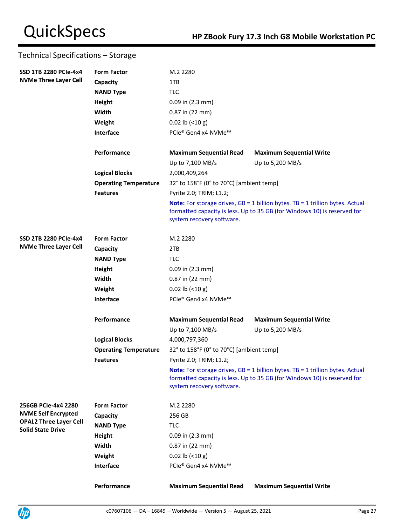| <b>SSD 1TB 2280 PCIe-4x4</b>                              | <b>Form Factor</b>           | M.2 2280                                 |                                                                                                                                                                    |
|-----------------------------------------------------------|------------------------------|------------------------------------------|--------------------------------------------------------------------------------------------------------------------------------------------------------------------|
| <b>NVMe Three Layer Cell</b>                              | Capacity                     | 1TB                                      |                                                                                                                                                                    |
|                                                           | <b>NAND Type</b>             | <b>TLC</b>                               |                                                                                                                                                                    |
|                                                           | <b>Height</b>                | $0.09$ in $(2.3$ mm)                     |                                                                                                                                                                    |
|                                                           | Width                        | 0.87 in (22 mm)                          |                                                                                                                                                                    |
|                                                           | Weight                       | $0.02$ lb (<10 g)                        |                                                                                                                                                                    |
|                                                           | Interface                    | PCIe® Gen4 x4 NVMe™                      |                                                                                                                                                                    |
|                                                           | Performance                  | <b>Maximum Sequential Read</b>           | <b>Maximum Sequential Write</b>                                                                                                                                    |
|                                                           |                              | Up to 7,100 MB/s                         | Up to 5,200 MB/s                                                                                                                                                   |
|                                                           | <b>Logical Blocks</b>        | 2,000,409,264                            |                                                                                                                                                                    |
|                                                           | <b>Operating Temperature</b> | 32° to 158°F (0° to 70°C) [ambient temp] |                                                                                                                                                                    |
|                                                           | <b>Features</b>              | Pyrite 2.0; TRIM; L1.2;                  |                                                                                                                                                                    |
|                                                           |                              | system recovery software.                | <b>Note:</b> For storage drives, $GB = 1$ billion bytes. TB = 1 trillion bytes. Actual<br>formatted capacity is less. Up to 35 GB (for Windows 10) is reserved for |
| <b>SSD 2TB 2280 PCIe-4x4</b>                              | <b>Form Factor</b>           | M.2 2280                                 |                                                                                                                                                                    |
| <b>NVMe Three Layer Cell</b>                              | Capacity                     | 2TB                                      |                                                                                                                                                                    |
|                                                           | <b>NAND Type</b>             | <b>TLC</b>                               |                                                                                                                                                                    |
|                                                           | Height                       | $0.09$ in $(2.3$ mm)                     |                                                                                                                                                                    |
|                                                           | Width                        | $0.87$ in $(22$ mm)                      |                                                                                                                                                                    |
|                                                           | Weight                       | $0.02$ lb (<10 g)                        |                                                                                                                                                                    |
|                                                           | Interface                    | PCIe® Gen4 x4 NVMe™                      |                                                                                                                                                                    |
|                                                           | Performance                  | <b>Maximum Sequential Read</b>           | <b>Maximum Sequential Write</b>                                                                                                                                    |
|                                                           |                              | Up to 7,100 MB/s                         | Up to 5,200 MB/s                                                                                                                                                   |
|                                                           | <b>Logical Blocks</b>        | 4,000,797,360                            |                                                                                                                                                                    |
|                                                           | <b>Operating Temperature</b> | 32° to 158°F (0° to 70°C) [ambient temp] |                                                                                                                                                                    |
|                                                           | <b>Features</b>              | Pyrite 2.0; TRIM; L1.2;                  |                                                                                                                                                                    |
|                                                           |                              | system recovery software.                | Note: For storage drives, GB = 1 billion bytes. TB = 1 trillion bytes. Actual<br>formatted capacity is less. Up to 35 GB (for Windows 10) is reserved for          |
| 256GB PCIe-4x4 2280                                       | <b>Form Factor</b>           | M.2 2280                                 |                                                                                                                                                                    |
| <b>NVME Self Encrypted</b>                                | Capacity                     | 256 GB                                   |                                                                                                                                                                    |
| <b>OPAL2 Three Layer Cell</b><br><b>Solid State Drive</b> | <b>NAND Type</b>             | <b>TLC</b>                               |                                                                                                                                                                    |
|                                                           | Height                       | $0.09$ in $(2.3$ mm)                     |                                                                                                                                                                    |
|                                                           | Width                        | 0.87 in (22 mm)                          |                                                                                                                                                                    |
|                                                           | Weight                       | $0.02$ lb (<10 g)                        |                                                                                                                                                                    |
|                                                           | Interface                    | PCIe® Gen4 x4 NVMe™                      |                                                                                                                                                                    |
|                                                           | Performance                  | <b>Maximum Sequential Read</b>           | <b>Maximum Sequential Write</b>                                                                                                                                    |

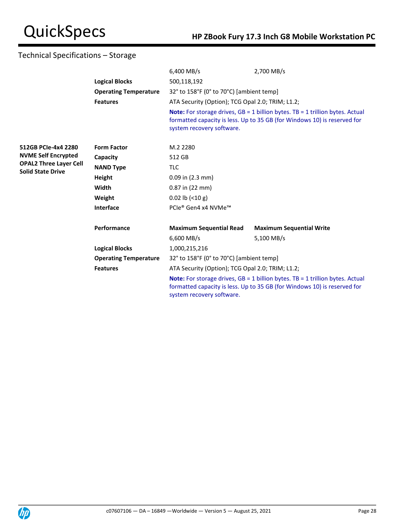|                                                           |                              | 6,400 MB/s                                                                                                                                                                                      | 2,700 MB/s                                                                                                                                                         |  |
|-----------------------------------------------------------|------------------------------|-------------------------------------------------------------------------------------------------------------------------------------------------------------------------------------------------|--------------------------------------------------------------------------------------------------------------------------------------------------------------------|--|
|                                                           | <b>Logical Blocks</b>        | 500,118,192                                                                                                                                                                                     |                                                                                                                                                                    |  |
|                                                           | <b>Operating Temperature</b> | 32° to 158°F (0° to 70°C) [ambient temp]                                                                                                                                                        |                                                                                                                                                                    |  |
|                                                           | <b>Features</b>              | ATA Security (Option); TCG Opal 2.0; TRIM; L1.2;                                                                                                                                                |                                                                                                                                                                    |  |
|                                                           |                              | system recovery software.                                                                                                                                                                       | <b>Note:</b> For storage drives, $GB = 1$ billion bytes. TB = 1 trillion bytes. Actual<br>formatted capacity is less. Up to 35 GB (for Windows 10) is reserved for |  |
|                                                           |                              |                                                                                                                                                                                                 |                                                                                                                                                                    |  |
| 512GB PCIe-4x4 2280                                       | <b>Form Factor</b>           | M.2 2280                                                                                                                                                                                        |                                                                                                                                                                    |  |
| <b>NVME Self Encrypted</b>                                | Capacity                     | 512 GB                                                                                                                                                                                          |                                                                                                                                                                    |  |
| <b>OPAL2 Three Layer Cell</b><br><b>Solid State Drive</b> | <b>NAND Type</b>             | <b>TLC</b>                                                                                                                                                                                      |                                                                                                                                                                    |  |
|                                                           | Height                       | $0.09$ in $(2.3$ mm)                                                                                                                                                                            |                                                                                                                                                                    |  |
|                                                           | Width                        | 0.87 in (22 mm)                                                                                                                                                                                 |                                                                                                                                                                    |  |
|                                                           | Weight                       | $0.02$ lb $(< 10 g)$                                                                                                                                                                            |                                                                                                                                                                    |  |
|                                                           | Interface                    | PCIe® Gen4 x4 NVMe™                                                                                                                                                                             |                                                                                                                                                                    |  |
|                                                           | Performance                  | <b>Maximum Sequential Read</b>                                                                                                                                                                  | <b>Maximum Sequential Write</b>                                                                                                                                    |  |
|                                                           |                              | $6,600$ MB/s                                                                                                                                                                                    | 5,100 MB/s                                                                                                                                                         |  |
|                                                           | <b>Logical Blocks</b>        | 1,000,215,216                                                                                                                                                                                   |                                                                                                                                                                    |  |
|                                                           | <b>Operating Temperature</b> | 32° to 158°F (0° to 70°C) [ambient temp]                                                                                                                                                        |                                                                                                                                                                    |  |
|                                                           | <b>Features</b>              | ATA Security (Option); TCG Opal 2.0; TRIM; L1.2;                                                                                                                                                |                                                                                                                                                                    |  |
|                                                           |                              | <b>Note:</b> For storage drives, $GB = 1$ billion bytes. TB = 1 trillion bytes. Actual<br>formatted capacity is less. Up to 35 GB (for Windows 10) is reserved for<br>system recovery software. |                                                                                                                                                                    |  |

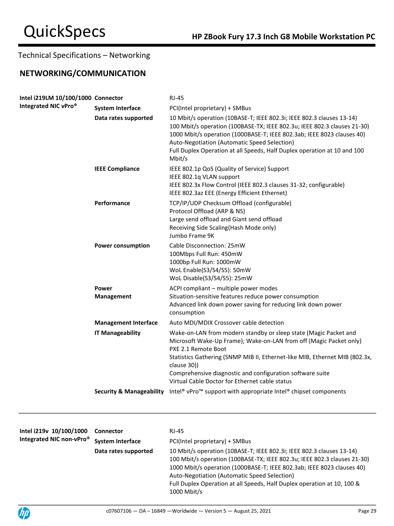# **NETWORKING/COMMUNICATION**

| Intel i219LM 10/100/1000 Connector<br>Integrated NIC vPro® |                                     | <b>RJ-45</b>                                                                                                                                                                                                                                                                                                                                                      |
|------------------------------------------------------------|-------------------------------------|-------------------------------------------------------------------------------------------------------------------------------------------------------------------------------------------------------------------------------------------------------------------------------------------------------------------------------------------------------------------|
|                                                            | <b>System Interface</b>             | PCI(Intel proprietary) + SMBus                                                                                                                                                                                                                                                                                                                                    |
|                                                            | Data rates supported                | 10 Mbit/s operation (10BASE-T; IEEE 802.3i; IEEE 802.3 clauses 13-14)<br>100 Mbit/s operation (100BASE-TX; IEEE 802.3u; IEEE 802.3 clauses 21-30)<br>1000 Mbit/s operation (1000BASE-T; IEEE 802.3ab; IEEE 8023 clauses 40)<br>Auto-Negotiation (Automatic Speed Selection)<br>Full Duplex Operation at all Speeds, Half Duplex operation at 10 and 100<br>Mbit/s |
|                                                            | <b>IEEE Compliance</b>              | IEEE 802.1p QoS (Quality of Service) Support<br>IEEE 802.1q VLAN support<br>IEEE 802.3x Flow Control (IEEE 802.3 clauses 31-32; configurable)<br>IEEE 802.3az EEE (Energy Efficient Ethernet)                                                                                                                                                                     |
|                                                            | Performance                         | TCP/IP/UDP Checksum Offload (configurable)<br>Protocol Offload (ARP & NS)<br>Large send offload and Giant send offload<br>Receiving Side Scaling (Hash Mode only)<br>Jumbo Frame 9K                                                                                                                                                                               |
|                                                            | <b>Power consumption</b>            | Cable Disconnection: 25mW<br>100Mbps Full Run: 450mW<br>1000bp Full Run: 1000mW<br>WoL Enable(S3/S4/S5): 50mW<br>WoL Disable(S3/S4/S5): 25mW                                                                                                                                                                                                                      |
|                                                            | Power                               | ACPI compliant - multiple power modes                                                                                                                                                                                                                                                                                                                             |
|                                                            | <b>Management</b>                   | Situation-sensitive features reduce power consumption<br>Advanced link down power saving for reducing link down power<br>consumption                                                                                                                                                                                                                              |
|                                                            | <b>Management Interface</b>         | Auto MDI/MDIX Crossover cable detection                                                                                                                                                                                                                                                                                                                           |
|                                                            | <b>IT Manageability</b>             | Wake-on-LAN from modern standby or sleep state (Magic Packet and<br>Microsoft Wake-Up Frame); Wake-on-LAN from off (Magic Packet only)<br>PXE 2.1 Remote Boot                                                                                                                                                                                                     |
|                                                            |                                     | Statistics Gathering (SNMP MIB II, Ethernet-like MIB, Ethernet MIB (802.3x,<br>clause 30))                                                                                                                                                                                                                                                                        |
|                                                            |                                     | Comprehensive diagnostic and configuration software suite<br>Virtual Cable Doctor for Ethernet cable status                                                                                                                                                                                                                                                       |
|                                                            | <b>Security &amp; Manageability</b> | Intel <sup>®</sup> vPro <sup>™</sup> support with appropriate Intel <sup>®</sup> chipset components                                                                                                                                                                                                                                                               |
|                                                            |                                     |                                                                                                                                                                                                                                                                                                                                                                   |

| Intel i219v 10/100/1000<br>Integrated NIC non-vPro <sup>®</sup> | <b>Connector</b>        | RJ-45                                                                                                                                                                                                                                                                                                                                                                 |
|-----------------------------------------------------------------|-------------------------|-----------------------------------------------------------------------------------------------------------------------------------------------------------------------------------------------------------------------------------------------------------------------------------------------------------------------------------------------------------------------|
|                                                                 | <b>System Interface</b> | PCI(Intel proprietary) + SMBus                                                                                                                                                                                                                                                                                                                                        |
|                                                                 | Data rates supported    | 10 Mbit/s operation (10BASE-T; IEEE 802.3i; IEEE 802.3 clauses 13-14)<br>100 Mbit/s operation (100BASE-TX; IEEE 802.3u; IEEE 802.3 clauses 21-30)<br>1000 Mbit/s operation (1000BASE-T; IEEE 802.3ab; IEEE 8023 clauses 40)<br>Auto-Negotiation (Automatic Speed Selection)<br>Full Duplex Operation at all Speeds, Half Duplex operation at 10, 100 &<br>1000 Mbit/s |

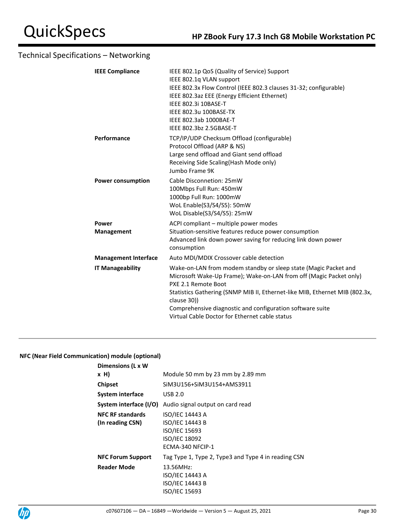| IEEE 802.1p QoS (Quality of Service) Support<br>IEEE 802.1q VLAN support<br>IEEE 802.3x Flow Control (IEEE 802.3 clauses 31-32; configurable)<br>IEEE 802.3az EEE (Energy Efficient Ethernet)<br>IEEE 802.3i 10BASE-T<br>IEEE 802.3u 100BASE-TX<br>IEEE 802.3ab 1000BAE-T<br>IEEE 802.3bz 2.5GBASE-T                                                                      |
|---------------------------------------------------------------------------------------------------------------------------------------------------------------------------------------------------------------------------------------------------------------------------------------------------------------------------------------------------------------------------|
| TCP/IP/UDP Checksum Offload (configurable)<br>Protocol Offload (ARP & NS)<br>Large send offload and Giant send offload<br>Receiving Side Scaling (Hash Mode only)<br>Jumbo Frame 9K                                                                                                                                                                                       |
| Cable Disconnetion: 25mW<br>100Mbps Full Run: 450mW<br>1000bp Full Run: 1000mW<br>WoL Enable(S3/S4/S5): 50mW<br>WoL Disable(S3/S4/S5): 25mW                                                                                                                                                                                                                               |
| ACPI compliant - multiple power modes<br>Situation-sensitive features reduce power consumption<br>Advanced link down power saving for reducing link down power<br>consumption                                                                                                                                                                                             |
| Auto MDI/MDIX Crossover cable detection                                                                                                                                                                                                                                                                                                                                   |
| Wake-on-LAN from modem standby or sleep state (Magic Packet and<br>Microsoft Wake-Up Frame); Wake-on-LAN from off (Magic Packet only)<br>PXE 2.1 Remote Boot<br>Statistics Gathering (SNMP MIB II, Ethernet-like MIB, Ethernet MIB (802.3x,<br>clause 30))<br>Comprehensive diagnostic and configuration software suite<br>Virtual Cable Doctor for Ethernet cable status |
|                                                                                                                                                                                                                                                                                                                                                                           |

## **NFC (Near Field Communication) module (optional)**

| Dimensions (L x W        |                                                     |
|--------------------------|-----------------------------------------------------|
| x H)                     | Module 50 mm by 23 mm by 2.89 mm                    |
| <b>Chipset</b>           | SiM3U156+SiM3U154+AMS3911                           |
| System interface         | <b>USB 2.0</b>                                      |
| System interface (I/O)   | Audio signal output on card read                    |
| <b>NFC RF standards</b>  | ISO/IEC 14443 A                                     |
| (In reading CSN)         | <b>ISO/IEC 14443 B</b>                              |
|                          | ISO/IEC 15693                                       |
|                          | ISO/IEC 18092                                       |
|                          | ECMA-340 NFCIP-1                                    |
| <b>NFC Forum Support</b> | Tag Type 1, Type 2, Type3 and Type 4 in reading CSN |
| <b>Reader Mode</b>       | 13.56MHz:                                           |
|                          | <b>ISO/IEC 14443 A</b>                              |
|                          | <b>ISO/IEC 14443 B</b>                              |
|                          | ISO/IEC 15693                                       |

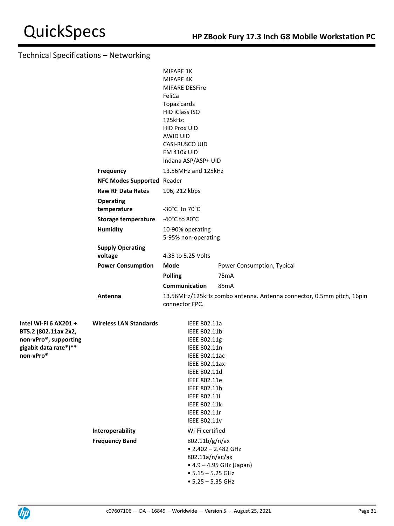|                                                                                                              |                                                   | MIFARE 1K<br>MIFARE 4K<br><b>MIFARE DESFire</b><br>FeliCa<br>Topaz cards<br>HID iClass ISO<br>125kHz:<br><b>HID Prox UID</b><br>AWID UID<br>CASI-RUSCO UID<br>EM 410x UID<br>Indana ASP/ASP+ UID                                         |                                                                              |
|--------------------------------------------------------------------------------------------------------------|---------------------------------------------------|------------------------------------------------------------------------------------------------------------------------------------------------------------------------------------------------------------------------------------------|------------------------------------------------------------------------------|
|                                                                                                              | <b>Frequency</b>                                  | 13.56MHz and 125kHz                                                                                                                                                                                                                      |                                                                              |
|                                                                                                              | NFC Modes Supported Reader                        |                                                                                                                                                                                                                                          |                                                                              |
|                                                                                                              | <b>Raw RF Data Rates</b>                          | 106, 212 kbps                                                                                                                                                                                                                            |                                                                              |
|                                                                                                              | <b>Operating</b><br>temperature                   | -30°C to 70°C                                                                                                                                                                                                                            |                                                                              |
|                                                                                                              | <b>Storage temperature</b>                        | -40°C to 80°C                                                                                                                                                                                                                            |                                                                              |
|                                                                                                              | <b>Humidity</b>                                   | 10-90% operating<br>5-95% non-operating                                                                                                                                                                                                  |                                                                              |
|                                                                                                              | <b>Supply Operating</b><br>voltage                | 4.35 to 5.25 Volts                                                                                                                                                                                                                       |                                                                              |
|                                                                                                              | <b>Power Consumption</b>                          | Mode                                                                                                                                                                                                                                     | Power Consumption, Typical                                                   |
|                                                                                                              |                                                   | <b>Polling</b>                                                                                                                                                                                                                           | 75mA                                                                         |
|                                                                                                              | Antenna                                           | Communication<br>connector FPC.                                                                                                                                                                                                          | 85mA<br>13.56MHz/125kHz combo antenna. Antenna connector, 0.5mm pitch, 16pin |
| Intel Wi-Fi 6 AX201 +<br>BT5.2 (802.11ax 2x2,<br>non-vPro®, supporting<br>gigabit data rate*)**<br>non-vPro® | <b>Wireless LAN Standards</b><br>Interoperability | IEEE 802.11a<br>IEEE 802.11b<br>IEEE 802.11g<br>IEEE 802.11n<br>IEEE 802.11ac<br><b>IEEE 802.11ax</b><br>IEEE 802.11d<br>IEEE 802.11e<br>IEEE 802.11h<br>IEEE 802.11i<br>IEEE 802.11k<br>IEEE 802.11r<br>IEEE 802.11v<br>Wi-Fi certified |                                                                              |
|                                                                                                              | <b>Frequency Band</b>                             | 802.11b/g/n/ax<br>$\bullet$ 2.402 - 2.482 GHz<br>802.11a/n/ac/ax<br>$• 5.15 - 5.25$ GHz<br>$• 5.25 - 5.35 GHz$                                                                                                                           | • 4.9 - 4.95 GHz (Japan)                                                     |

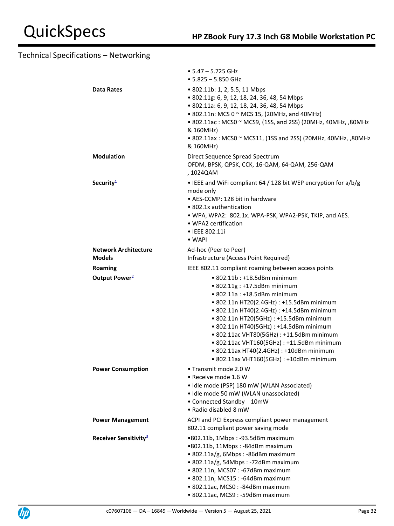|                                   | $\bullet$ 5.47 - 5.725 GHz<br>$• 5.825 - 5.850$ GHz                                                                                                                                                                                                                                                                                                                                                                                                          |
|-----------------------------------|--------------------------------------------------------------------------------------------------------------------------------------------------------------------------------------------------------------------------------------------------------------------------------------------------------------------------------------------------------------------------------------------------------------------------------------------------------------|
| <b>Data Rates</b>                 | • 802.11b: 1, 2, 5.5, 11 Mbps<br>• 802.11g: 6, 9, 12, 18, 24, 36, 48, 54 Mbps<br>• 802.11a: 6, 9, 12, 18, 24, 36, 48, 54 Mbps<br>• 802.11n: MCS 0 ~ MCS 15, (20MHz, and 40MHz)<br>• 802.11ac: MCS0 ~ MCS9, (1SS, and 2SS) (20MHz, 40MHz, ,80MHz<br>& 160MHz)<br>• 802.11ax: MCS0 ~ MCS11, (1SS and 2SS) (20MHz, 40MHz, ,80MHz<br>& 160MHz)                                                                                                                   |
| <b>Modulation</b>                 | Direct Sequence Spread Spectrum<br>OFDM, BPSK, QPSK, CCK, 16-QAM, 64-QAM, 256-QAM<br>, 1024QAM                                                                                                                                                                                                                                                                                                                                                               |
| Security <sup>1</sup>             | • IEEE and WiFi compliant 64 / 128 bit WEP encryption for a/b/g<br>mode only<br>• AES-CCMP: 128 bit in hardware<br>• 802.1x authentication<br>• WPA, WPA2: 802.1x. WPA-PSK, WPA2-PSK, TKIP, and AES.<br>• WPA2 certification<br>• IEEE 802.11i<br>$\bullet$ WAPI                                                                                                                                                                                             |
| <b>Network Architecture</b>       | Ad-hoc (Peer to Peer)                                                                                                                                                                                                                                                                                                                                                                                                                                        |
| <b>Models</b>                     | Infrastructure (Access Point Required)                                                                                                                                                                                                                                                                                                                                                                                                                       |
| Roaming                           | IEEE 802.11 compliant roaming between access points                                                                                                                                                                                                                                                                                                                                                                                                          |
| Output Power <sup>2</sup>         | • 802.11b: +18.5dBm minimum<br>• 802.11g: +17.5dBm minimum<br>• 802.11a : +18.5dBm minimum<br>• 802.11n HT20(2.4GHz) : +15.5dBm minimum<br>• 802.11n HT40(2.4GHz) : +14.5dBm minimum<br>• 802.11n HT20(5GHz): +15.5dBm minimum<br>• 802.11n HT40(5GHz) : +14.5dBm minimum<br>• 802.11ac VHT80(5GHz) : +11.5dBm minimum<br>• 802.11ac VHT160(5GHz) : +11.5dBm minimum<br>• 802.11ax HT40(2.4GHz) : +10dBm minimum<br>• 802.11ax VHT160(5GHz) : +10dBm minimum |
| <b>Power Consumption</b>          | • Transmit mode 2.0 W<br>• Receive mode 1.6 W<br>• Idle mode (PSP) 180 mW (WLAN Associated)<br>· Idle mode 50 mW (WLAN unassociated)<br>• Connected Standby 10mW<br>• Radio disabled 8 mW                                                                                                                                                                                                                                                                    |
| <b>Power Management</b>           | ACPI and PCI Express compliant power management<br>802.11 compliant power saving mode                                                                                                                                                                                                                                                                                                                                                                        |
| Receiver Sensitivity <sup>3</sup> | •802.11b, 1Mbps: -93.5dBm maximum<br>•802.11b, 11Mbps: -84dBm maximum<br>• 802.11a/g, 6Mbps: -86dBm maximum<br>• 802.11a/g, 54Mbps : -72dBm maximum<br>• 802.11n, MCS07: -67dBm maximum<br>• 802.11n, MCS15 : -64dBm maximum<br>• 802.11ac, MCS0: -84dBm maximum<br>· 802.11ac, MCS9: -59dBm maximum                                                                                                                                                         |

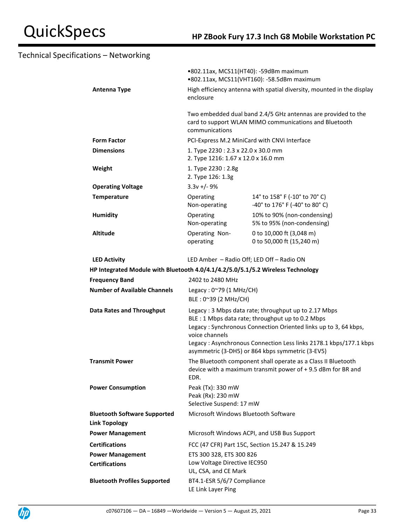|                                                                                 | •802.11ax, MCS11(HT40): -59dBm maximum<br>•802.11ax, MCS11(VHT160): -58.5dBm maximum                                                                                                                                                                                                                                    |                                                                                                                              |
|---------------------------------------------------------------------------------|-------------------------------------------------------------------------------------------------------------------------------------------------------------------------------------------------------------------------------------------------------------------------------------------------------------------------|------------------------------------------------------------------------------------------------------------------------------|
| Antenna Type                                                                    | High efficiency antenna with spatial diversity, mounted in the display<br>enclosure                                                                                                                                                                                                                                     |                                                                                                                              |
|                                                                                 | communications                                                                                                                                                                                                                                                                                                          | Two embedded dual band 2.4/5 GHz antennas are provided to the<br>card to support WLAN MIMO communications and Bluetooth      |
| <b>Form Factor</b>                                                              |                                                                                                                                                                                                                                                                                                                         | PCI-Express M.2 MiniCard with CNVi Interface                                                                                 |
| <b>Dimensions</b>                                                               | 1. Type 2230: 2.3 x 22.0 x 30.0 mm<br>2. Type 1216: 1.67 x 12.0 x 16.0 mm                                                                                                                                                                                                                                               |                                                                                                                              |
| Weight                                                                          | 1. Type 2230: 2.8g<br>2. Type 126: 1.3g                                                                                                                                                                                                                                                                                 |                                                                                                                              |
| <b>Operating Voltage</b>                                                        | $3.3v +/- 9%$                                                                                                                                                                                                                                                                                                           |                                                                                                                              |
| <b>Temperature</b>                                                              | Operating<br>Non-operating                                                                                                                                                                                                                                                                                              | 14° to 158° F (-10° to 70° C)<br>-40° to 176° F (-40° to 80° C)                                                              |
| <b>Humidity</b>                                                                 | Operating<br>Non-operating                                                                                                                                                                                                                                                                                              | 10% to 90% (non-condensing)<br>5% to 95% (non-condensing)                                                                    |
| <b>Altitude</b>                                                                 | Operating Non-<br>operating                                                                                                                                                                                                                                                                                             | 0 to 10,000 ft (3,048 m)<br>0 to 50,000 ft (15,240 m)                                                                        |
| <b>LED Activity</b>                                                             |                                                                                                                                                                                                                                                                                                                         | LED Amber - Radio Off; LED Off - Radio ON                                                                                    |
| HP Integrated Module with Bluetooth 4.0/4.1/4.2/5.0/5.1/5.2 Wireless Technology |                                                                                                                                                                                                                                                                                                                         |                                                                                                                              |
| <b>Frequency Band</b>                                                           | 2402 to 2480 MHz                                                                                                                                                                                                                                                                                                        |                                                                                                                              |
| <b>Number of Available Channels</b>                                             | Legacy: 0~79 (1 MHz/CH)<br>BLE: 0~39 (2 MHz/CH)                                                                                                                                                                                                                                                                         |                                                                                                                              |
| <b>Data Rates and Throughput</b>                                                | Legacy: 3 Mbps data rate; throughput up to 2.17 Mbps<br>BLE : 1 Mbps data rate; throughput up to 0.2 Mbps<br>Legacy: Synchronous Connection Oriented links up to 3, 64 kbps,<br>voice channels<br>Legacy: Asynchronous Connection Less links 2178.1 kbps/177.1 kbps<br>asymmetric (3-DH5) or 864 kbps symmetric (3-EV5) |                                                                                                                              |
| <b>Transmit Power</b>                                                           | EDR.                                                                                                                                                                                                                                                                                                                    | The Bluetooth component shall operate as a Class II Bluetooth<br>device with a maximum transmit power of +9.5 dBm for BR and |
| <b>Power Consumption</b>                                                        | Peak (Tx): 330 mW<br>Peak (Rx): 230 mW<br>Selective Suspend: 17 mW                                                                                                                                                                                                                                                      |                                                                                                                              |
| <b>Bluetooth Software Supported</b>                                             | Microsoft Windows Bluetooth Software                                                                                                                                                                                                                                                                                    |                                                                                                                              |
| <b>Link Topology</b>                                                            |                                                                                                                                                                                                                                                                                                                         |                                                                                                                              |
| <b>Power Management</b>                                                         |                                                                                                                                                                                                                                                                                                                         | Microsoft Windows ACPI, and USB Bus Support                                                                                  |
| <b>Certifications</b>                                                           |                                                                                                                                                                                                                                                                                                                         | FCC (47 CFR) Part 15C, Section 15.247 & 15.249                                                                               |
| <b>Power Management</b>                                                         | ETS 300 328, ETS 300 826                                                                                                                                                                                                                                                                                                |                                                                                                                              |
| <b>Certifications</b>                                                           | Low Voltage Directive IEC950<br>UL, CSA, and CE Mark                                                                                                                                                                                                                                                                    |                                                                                                                              |
| <b>Bluetooth Profiles Supported</b>                                             | BT4.1-ESR 5/6/7 Compliance<br>LE Link Layer Ping                                                                                                                                                                                                                                                                        |                                                                                                                              |

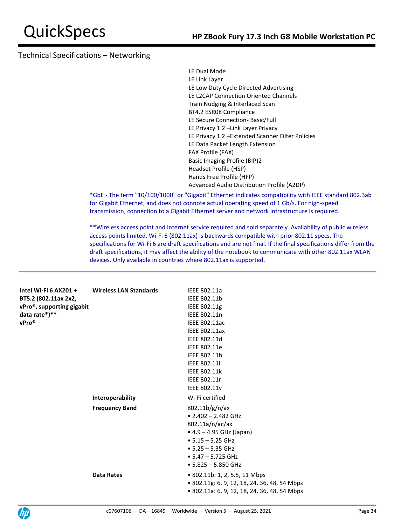LE Dual Mode LE Link Layer LE Low Duty Cycle Directed Advertising LE L2CAP Connection Oriented Channels Train Nudging & Interlaced Scan BT4.2 ESR08 Compliance LE Secure Connection- Basic/Full LE Privacy 1.2 –Link Layer Privacy LE Privacy 1.2 –Extended Scanner Filter Policies LE Data Packet Length Extension FAX Profile (FAX) Basic Imaging Profile (BIP)2 Headset Profile (HSP) Hands Free Profile (HFP) Advanced Audio Distribution Profile (A2DP)

\*GbE - The term "10/100/1000" or "Gigabit" Ethernet indicates compatibility with IEEE standard 802.3ab for Gigabit Ethernet, and does not connote actual operating speed of 1 Gb/s. For high-speed transmission, connection to a Gigabit Ethernet server and network infrastructure is required.

\*\*Wireless access point and Internet service required and sold separately. Availability of public wireless access points limited. Wi-Fi 6 (802.11ax) is backwards compatible with prior 802.11 specs. The specifications for Wi-Fi 6 are draft specifications and are not final. If the final specifications differ from the draft specifications, it may affect the ability of the notebook to communicate with other 802.11ax WLAN devices. Only available in countries where 802.11ax is supported.

| Intel Wi-Fi $6$ AX201 +<br>BT5.2 (802.11ax 2x2,<br>vPro <sup>®</sup> , supporting gigabit | <b>Wireless LAN Standards</b> | IEEE 802.11a                                 |
|-------------------------------------------------------------------------------------------|-------------------------------|----------------------------------------------|
|                                                                                           |                               | IEEE 802.11b                                 |
|                                                                                           |                               | IEEE 802.11g                                 |
| data rate*)**                                                                             |                               | IEEE 802.11n                                 |
| vPro®                                                                                     |                               | <b>IEEE 802.11ac</b>                         |
|                                                                                           |                               | <b>IEEE 802.11ax</b>                         |
|                                                                                           |                               | IEEE 802.11d                                 |
|                                                                                           |                               | IEEE 802.11e                                 |
|                                                                                           |                               | IEEE 802.11h                                 |
|                                                                                           |                               | <b>IEEE 802.11i</b>                          |
|                                                                                           |                               | <b>IEEE 802.11k</b>                          |
|                                                                                           |                               | IEEE 802.11r                                 |
|                                                                                           |                               | <b>IEEE 802.11v</b>                          |
|                                                                                           | Interoperability              | Wi-Fi certified                              |
|                                                                                           | <b>Frequency Band</b>         | 802.11b/g/n/ax                               |
|                                                                                           |                               | $\bullet$ 2.402 - 2.482 GHz                  |
|                                                                                           |                               | 802.11a/n/ac/ax                              |
|                                                                                           |                               | $• 4.9 - 4.95$ GHz (Japan)                   |
|                                                                                           |                               | $\bullet$ 5.15 - 5.25 GHz                    |
|                                                                                           |                               | $\bullet$ 5.25 - 5.35 GHz                    |
|                                                                                           |                               | $\bullet$ 5.47 - 5.725 GHz                   |
|                                                                                           |                               | $\bullet$ 5.825 - 5.850 GHz                  |
|                                                                                           | <b>Data Rates</b>             | • 802.11b: 1, 2, 5.5, 11 Mbps                |
|                                                                                           |                               | • 802.11g: 6, 9, 12, 18, 24, 36, 48, 54 Mbps |
|                                                                                           |                               | • 802.11a: 6, 9, 12, 18, 24, 36, 48, 54 Mbps |
|                                                                                           |                               |                                              |

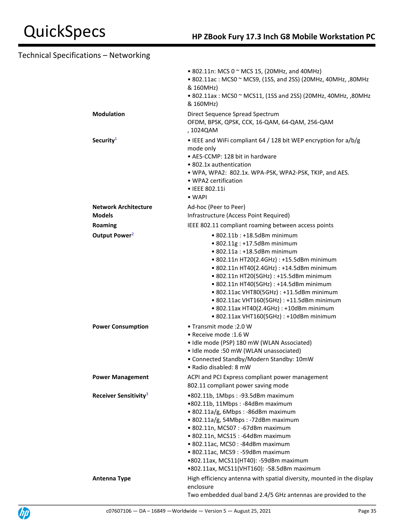|                                   | • 802.11n: MCS 0 $\sim$ MCS 15, (20MHz, and 40MHz)<br>• 802.11ac: MCS0 ~ MCS9, (1SS, and 2SS) (20MHz, 40MHz, ,80MHz<br>& 160MHz)<br>• 802.11ax: MCS0 ~ MCS11, (1SS and 2SS) (20MHz, 40MHz, ,80MHz<br>& 160MHz)                                                                                                                                                                                                                                                |
|-----------------------------------|---------------------------------------------------------------------------------------------------------------------------------------------------------------------------------------------------------------------------------------------------------------------------------------------------------------------------------------------------------------------------------------------------------------------------------------------------------------|
| <b>Modulation</b>                 | Direct Sequence Spread Spectrum<br>OFDM, BPSK, QPSK, CCK, 16-QAM, 64-QAM, 256-QAM<br>, 1024QAM                                                                                                                                                                                                                                                                                                                                                                |
| Security $1$                      | • IEEE and WiFi compliant 64 / 128 bit WEP encryption for a/b/g<br>mode only<br>• AES-CCMP: 128 bit in hardware<br>• 802.1x authentication<br>• WPA, WPA2: 802.1x. WPA-PSK, WPA2-PSK, TKIP, and AES.<br>• WPA2 certification<br>• IEEE 802.11i<br>$\bullet$ WAPI                                                                                                                                                                                              |
| Network Architecture              | Ad-hoc (Peer to Peer)                                                                                                                                                                                                                                                                                                                                                                                                                                         |
| <b>Models</b>                     | Infrastructure (Access Point Required)                                                                                                                                                                                                                                                                                                                                                                                                                        |
| Roaming                           | IEEE 802.11 compliant roaming between access points                                                                                                                                                                                                                                                                                                                                                                                                           |
| Output Power <sup>2</sup>         | • 802.11b: +18.5dBm minimum<br>• 802.11g : +17.5dBm minimum<br>• 802.11a: +18.5dBm minimum<br>• 802.11n HT20(2.4GHz) : +15.5dBm minimum<br>• 802.11n HT40(2.4GHz) : +14.5dBm minimum<br>• 802.11n HT20(5GHz) : +15.5dBm minimum<br>• 802.11n HT40(5GHz) : +14.5dBm minimum<br>• 802.11ac VHT80(5GHz) : +11.5dBm minimum<br>• 802.11ac VHT160(5GHz) : +11.5dBm minimum<br>• 802.11ax HT40(2.4GHz) : +10dBm minimum<br>• 802.11ax VHT160(5GHz) : +10dBm minimum |
| <b>Power Consumption</b>          | • Transmit mode : 2.0 W<br>• Receive mode : 1.6 W<br>· Idle mode (PSP) 180 mW (WLAN Associated)<br>• Idle mode :50 mW (WLAN unassociated)<br>• Connected Standby/Modern Standby: 10mW<br>• Radio disabled: 8 mW                                                                                                                                                                                                                                               |
| <b>Power Management</b>           | ACPI and PCI Express compliant power management<br>802.11 compliant power saving mode                                                                                                                                                                                                                                                                                                                                                                         |
| Receiver Sensitivity <sup>3</sup> | •802.11b, 1Mbps: -93.5dBm maximum<br>•802.11b, 11Mbps: -84dBm maximum<br>• 802.11a/g, 6Mbps : -86dBm maximum<br>• 802.11a/g, 54Mbps: -72dBm maximum<br>• 802.11n, MCS07: -67dBm maximum<br>• 802.11n, MCS15: -64dBm maximum<br>• 802.11ac, MCS0: -84dBm maximum<br>· 802.11ac, MCS9: -59dBm maximum<br>•802.11ax, MCS11(HT40): -59dBm maximum<br>•802.11ax, MCS11(VHT160): -58.5dBm maximum                                                                   |
| <b>Antenna Type</b>               | High efficiency antenna with spatial diversity, mounted in the display<br>enclosure<br>Two embedded dual band 2.4/5 GHz antennas are provided to the                                                                                                                                                                                                                                                                                                          |

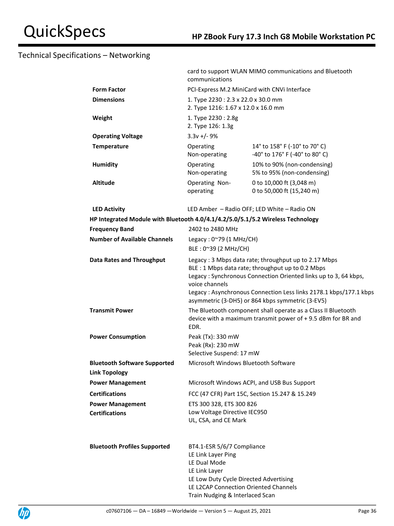|                                                                                 | card to support WLAN MIMO communications and Bluetooth<br>communications                                                                                                                                                                                                                                                |                                                                                                                              |  |
|---------------------------------------------------------------------------------|-------------------------------------------------------------------------------------------------------------------------------------------------------------------------------------------------------------------------------------------------------------------------------------------------------------------------|------------------------------------------------------------------------------------------------------------------------------|--|
| <b>Form Factor</b>                                                              | PCI-Express M.2 MiniCard with CNVi Interface                                                                                                                                                                                                                                                                            |                                                                                                                              |  |
| <b>Dimensions</b>                                                               | 1. Type 2230: 2.3 x 22.0 x 30.0 mm<br>2. Type 1216: 1.67 x 12.0 x 16.0 mm                                                                                                                                                                                                                                               |                                                                                                                              |  |
| Weight                                                                          | 1. Type 2230: 2.8g<br>2. Type 126: 1.3g                                                                                                                                                                                                                                                                                 |                                                                                                                              |  |
| <b>Operating Voltage</b>                                                        | $3.3v +/- 9%$                                                                                                                                                                                                                                                                                                           |                                                                                                                              |  |
| <b>Temperature</b>                                                              | Operating<br>Non-operating                                                                                                                                                                                                                                                                                              | 14° to 158° F (-10° to 70° C)<br>-40° to 176° F (-40° to 80° C)                                                              |  |
| Humidity                                                                        | Operating<br>Non-operating                                                                                                                                                                                                                                                                                              | 10% to 90% (non-condensing)<br>5% to 95% (non-condensing)                                                                    |  |
| <b>Altitude</b>                                                                 | Operating Non-<br>operating                                                                                                                                                                                                                                                                                             | 0 to 10,000 ft (3,048 m)<br>0 to 50,000 ft (15,240 m)                                                                        |  |
| <b>LED Activity</b>                                                             |                                                                                                                                                                                                                                                                                                                         | LED Amber - Radio OFF; LED White - Radio ON                                                                                  |  |
| HP Integrated Module with Bluetooth 4.0/4.1/4.2/5.0/5.1/5.2 Wireless Technology |                                                                                                                                                                                                                                                                                                                         |                                                                                                                              |  |
| <b>Frequency Band</b>                                                           | 2402 to 2480 MHz                                                                                                                                                                                                                                                                                                        |                                                                                                                              |  |
| <b>Number of Available Channels</b>                                             | Legacy: $0^{\sim}79$ (1 MHz/CH)<br>BLE: 0~39 (2 MHz/CH)                                                                                                                                                                                                                                                                 |                                                                                                                              |  |
| <b>Data Rates and Throughput</b>                                                | Legacy: 3 Mbps data rate; throughput up to 2.17 Mbps<br>BLE : 1 Mbps data rate; throughput up to 0.2 Mbps<br>Legacy: Synchronous Connection Oriented links up to 3, 64 kbps,<br>voice channels<br>Legacy: Asynchronous Connection Less links 2178.1 kbps/177.1 kbps<br>asymmetric (3-DH5) or 864 kbps symmetric (3-EV5) |                                                                                                                              |  |
| <b>Transmit Power</b>                                                           | EDR.                                                                                                                                                                                                                                                                                                                    | The Bluetooth component shall operate as a Class II Bluetooth<br>device with a maximum transmit power of +9.5 dBm for BR and |  |
| <b>Power Consumption</b>                                                        | Peak (Tx): 330 mW<br>Peak (Rx): 230 mW<br>Selective Suspend: 17 mW                                                                                                                                                                                                                                                      |                                                                                                                              |  |
| <b>Bluetooth Software Supported</b><br><b>Link Topology</b>                     | Microsoft Windows Bluetooth Software                                                                                                                                                                                                                                                                                    |                                                                                                                              |  |
| <b>Power Management</b>                                                         |                                                                                                                                                                                                                                                                                                                         | Microsoft Windows ACPI, and USB Bus Support                                                                                  |  |
| <b>Certifications</b>                                                           |                                                                                                                                                                                                                                                                                                                         | FCC (47 CFR) Part 15C, Section 15.247 & 15.249                                                                               |  |
| <b>Power Management</b><br><b>Certifications</b>                                | ETS 300 328, ETS 300 826<br>Low Voltage Directive IEC950<br>UL, CSA, and CE Mark                                                                                                                                                                                                                                        |                                                                                                                              |  |
| <b>Bluetooth Profiles Supported</b>                                             | BT4.1-ESR 5/6/7 Compliance<br>LE Link Layer Ping<br>LE Dual Mode<br>LE Link Layer<br>LE Low Duty Cycle Directed Advertising<br>LE L2CAP Connection Oriented Channels<br>Train Nudging & Interlaced Scan                                                                                                                 |                                                                                                                              |  |

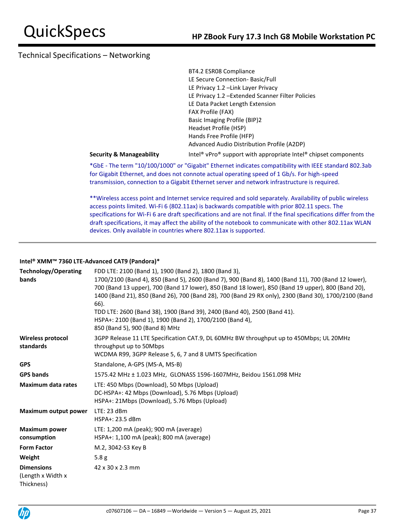| BT4.2 ESR08 Compliance                           |
|--------------------------------------------------|
| LE Secure Connection- Basic/Full                 |
| LE Privacy 1.2 -Link Layer Privacy               |
| LE Privacy 1.2 -Extended Scanner Filter Policies |
| LE Data Packet Length Extension                  |
| FAX Profile (FAX)                                |
| <b>Basic Imaging Profile (BIP)2</b>              |
| Headset Profile (HSP)                            |
| Hands Free Profile (HFP)                         |
| Advanced Audio Distribution Profile (A2DP)       |
|                                                  |

**Security & Manageability** Intel® vPro® support with appropriate Intel® chipset components

\*GbE - The term "10/100/1000" or "Gigabit" Ethernet indicates compatibility with IEEE standard 802.3ab for Gigabit Ethernet, and does not connote actual operating speed of 1 Gb/s. For high-speed transmission, connection to a Gigabit Ethernet server and network infrastructure is required.

\*\*Wireless access point and Internet service required and sold separately. Availability of public wireless access points limited. Wi-Fi 6 (802.11ax) is backwards compatible with prior 802.11 specs. The specifications for Wi-Fi 6 are draft specifications and are not final. If the final specifications differ from the draft specifications, it may affect the ability of the notebook to communicate with other 802.11ax WLAN devices. Only available in countries where 802.11ax is supported.

### **Intel® XMM™ 7360 LTE-Advanced CAT9 (Pandora)\***

| <b>Technology/Operating</b><br>bands                  | FDD LTE: 2100 (Band 1), 1900 (Band 2), 1800 (Band 3),<br>1700/2100 (Band 4), 850 (Band 5), 2600 (Band 7), 900 (Band 8), 1400 (Band 11), 700 (Band 12 lower),<br>700 (Band 13 upper), 700 (Band 17 lower), 850 (Band 18 lower), 850 (Band 19 upper), 800 (Band 20),<br>1400 (Band 21), 850 (Band 26), 700 (Band 28), 700 (Band 29 RX only), 2300 (Band 30), 1700/2100 (Band<br>66).<br>TDD LTE: 2600 (Band 38), 1900 (Band 39), 2400 (Band 40), 2500 (Band 41).<br>HSPA+: 2100 (Band 1), 1900 (Band 2), 1700/2100 (Band 4),<br>850 (Band 5), 900 (Band 8) MHz |
|-------------------------------------------------------|--------------------------------------------------------------------------------------------------------------------------------------------------------------------------------------------------------------------------------------------------------------------------------------------------------------------------------------------------------------------------------------------------------------------------------------------------------------------------------------------------------------------------------------------------------------|
| <b>Wireless protocol</b><br>standards                 | 3GPP Release 11 LTE Specification CAT.9, DL 60MHz BW throughput up to 450Mbps; UL 20MHz<br>throughput up to 50Mbps<br>WCDMA R99, 3GPP Release 5, 6, 7 and 8 UMTS Specification                                                                                                                                                                                                                                                                                                                                                                               |
| <b>GPS</b>                                            | Standalone, A-GPS (MS-A, MS-B)                                                                                                                                                                                                                                                                                                                                                                                                                                                                                                                               |
| <b>GPS bands</b>                                      | 1575.42 MHz ± 1.023 MHz, GLONASS 1596-1607MHz, Beidou 1561.098 MHz                                                                                                                                                                                                                                                                                                                                                                                                                                                                                           |
| <b>Maximum data rates</b>                             | LTE: 450 Mbps (Download), 50 Mbps (Upload)<br>DC-HSPA+: 42 Mbps (Download), 5.76 Mbps (Upload)<br>HSPA+: 21Mbps (Download), 5.76 Mbps (Upload)                                                                                                                                                                                                                                                                                                                                                                                                               |
| Maximum output power                                  | $LTE: 23$ dBm<br>HSPA+: 23.5 dBm                                                                                                                                                                                                                                                                                                                                                                                                                                                                                                                             |
| <b>Maximum power</b><br>consumption                   | LTE: 1,200 mA (peak); 900 mA (average)<br>HSPA+: 1,100 mA (peak); 800 mA (average)                                                                                                                                                                                                                                                                                                                                                                                                                                                                           |
| <b>Form Factor</b>                                    | M.2, 3042-S3 Key B                                                                                                                                                                                                                                                                                                                                                                                                                                                                                                                                           |
| Weight                                                | 5.8g                                                                                                                                                                                                                                                                                                                                                                                                                                                                                                                                                         |
| <b>Dimensions</b><br>(Length x Width x)<br>Thickness) | 42 x 30 x 2.3 mm                                                                                                                                                                                                                                                                                                                                                                                                                                                                                                                                             |

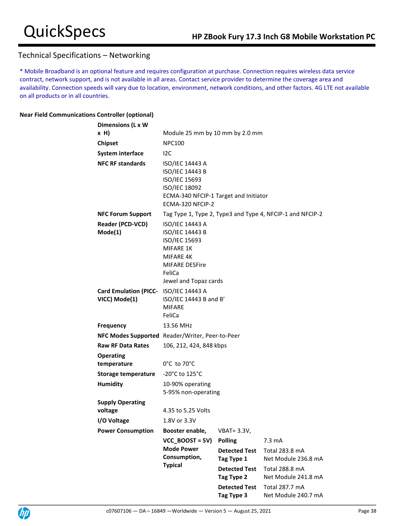\* Mobile Broadband is an optional feature and requires configuration at purchase. Connection requires wireless data service contract, network support, and is not available in all areas. Contact service provider to determine the coverage area and availability. Connection speeds will vary due to location, environment, network conditions, and other factors. 4G LTE not available on all products or in all countries.

### **Near Field Communications Controller (optional)**

| Dimensions (L x W                               |                                                                                                                                   |                                    |                                                           |
|-------------------------------------------------|-----------------------------------------------------------------------------------------------------------------------------------|------------------------------------|-----------------------------------------------------------|
| $x$ H)                                          | Module 25 mm by 10 mm by 2.0 mm                                                                                                   |                                    |                                                           |
| <b>Chipset</b>                                  | <b>NPC100</b>                                                                                                                     |                                    |                                                           |
| <b>System interface</b>                         | I <sub>2C</sub>                                                                                                                   |                                    |                                                           |
| <b>NFC RF standards</b>                         | ISO/IEC 14443 A<br>ISO/IEC 14443 B<br>ISO/IEC 15693<br>ISO/IEC 18092<br>ECMA-340 NFCIP-1 Target and Initiator<br>ECMA-320 NFCIP-2 |                                    |                                                           |
| <b>NFC Forum Support</b>                        |                                                                                                                                   |                                    | Tag Type 1, Type 2, Type3 and Type 4, NFCIP-1 and NFCIP-2 |
| Reader (PCD-VCD)                                | <b>ISO/IEC 14443 A</b>                                                                                                            |                                    |                                                           |
| Mode(1)                                         | ISO/IEC 14443 B<br>ISO/IEC 15693<br><b>MIFARE 1K</b><br>MIFARE 4K<br><b>MIFARE DESFire</b><br>FeliCa<br>Jewel and Topaz cards     |                                    |                                                           |
| Card Emulation (PICC- ISO/IEC 14443 A           |                                                                                                                                   |                                    |                                                           |
| VICC) Mode(1)                                   | ISO/IEC 14443 B and B'<br><b>MIFARE</b>                                                                                           |                                    |                                                           |
|                                                 | FeliCa                                                                                                                            |                                    |                                                           |
| <b>Frequency</b>                                | 13.56 MHz                                                                                                                         |                                    |                                                           |
| NFC Modes Supported Reader/Writer, Peer-to-Peer |                                                                                                                                   |                                    |                                                           |
| <b>Raw RF Data Rates</b>                        | 106, 212, 424, 848 kbps                                                                                                           |                                    |                                                           |
| <b>Operating</b>                                |                                                                                                                                   |                                    |                                                           |
| temperature                                     | $0^{\circ}$ C to 70 $^{\circ}$ C                                                                                                  |                                    |                                                           |
| Storage temperature                             | $-20^{\circ}$ C to 125 $^{\circ}$ C                                                                                               |                                    |                                                           |
| <b>Humidity</b>                                 | 10-90% operating                                                                                                                  |                                    |                                                           |
|                                                 | 5-95% non-operating                                                                                                               |                                    |                                                           |
| <b>Supply Operating</b>                         |                                                                                                                                   |                                    |                                                           |
| voltage                                         | 4.35 to 5.25 Volts                                                                                                                |                                    |                                                           |
| I/O Voltage                                     | 1.8V or 3.3V                                                                                                                      |                                    |                                                           |
| <b>Power Consumption</b>                        | Booster enable,                                                                                                                   | $VBAT = 3.3V,$                     |                                                           |
|                                                 | $VCC$ BOOST = 5V)                                                                                                                 | <b>Polling</b>                     | 7.3 mA                                                    |
|                                                 | <b>Mode Power</b>                                                                                                                 | <b>Detected Test</b>               | Total 283.8 mA                                            |
|                                                 | Consumption,<br><b>Typical</b>                                                                                                    | Tag Type 1                         | Net Module 236.8 mA                                       |
|                                                 |                                                                                                                                   | <b>Detected Test</b><br>Tag Type 2 | Total 288.8 mA<br>Net Module 241.8 mA                     |
|                                                 |                                                                                                                                   | <b>Detected Test</b>               | Total 287.7 mA                                            |
|                                                 |                                                                                                                                   | Tag Type 3                         | Net Module 240.7 mA                                       |

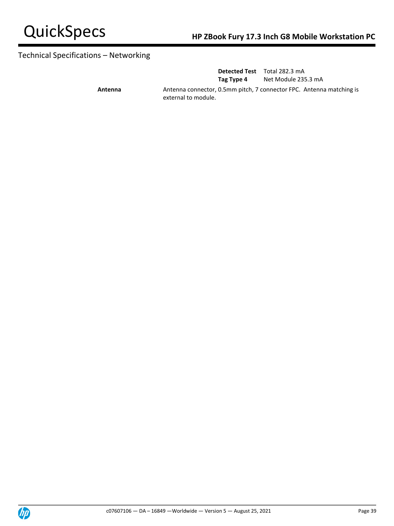

|         |                     | <b>Detected Test</b> Total 282.3 mA                                  |
|---------|---------------------|----------------------------------------------------------------------|
|         | Tag Type 4          | Net Module 235.3 mA                                                  |
| Antenna | external to module. | Antenna connector, 0.5mm pitch, 7 connector FPC. Antenna matching is |

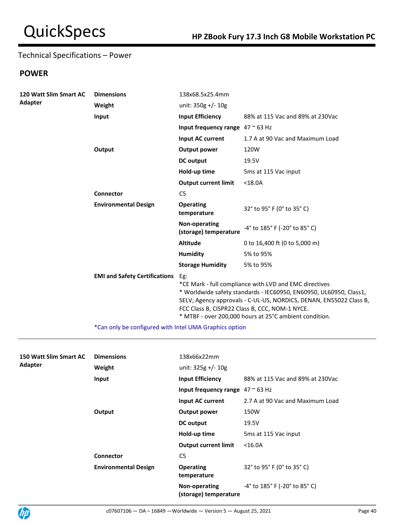# Technical Specifications – Power

# **POWER**

| <b>Dimensions</b>                    | 138x68.5x25.4mm                          |                                                                                                                                                                                                                                                                                                                |
|--------------------------------------|------------------------------------------|----------------------------------------------------------------------------------------------------------------------------------------------------------------------------------------------------------------------------------------------------------------------------------------------------------------|
| Weight                               | unit: $350g$ +/- $10g$                   |                                                                                                                                                                                                                                                                                                                |
| Input                                | <b>Input Efficiency</b>                  | 88% at 115 Vac and 89% at 230Vac                                                                                                                                                                                                                                                                               |
|                                      | Input frequency range $47 \approx 63$ Hz |                                                                                                                                                                                                                                                                                                                |
|                                      | <b>Input AC current</b>                  | 1.7 A at 90 Vac and Maximum Load                                                                                                                                                                                                                                                                               |
| Output                               | <b>Output power</b>                      | 120W                                                                                                                                                                                                                                                                                                           |
|                                      | DC output                                | 19.5V                                                                                                                                                                                                                                                                                                          |
|                                      | Hold-up time                             | 5ms at 115 Vac input                                                                                                                                                                                                                                                                                           |
|                                      | <b>Output current limit</b>              | $<$ 18.0A                                                                                                                                                                                                                                                                                                      |
| Connector                            | C <sub>5</sub>                           |                                                                                                                                                                                                                                                                                                                |
| <b>Environmental Design</b>          | <b>Operating</b><br>temperature          | 32° to 95° F (0° to 35° C)                                                                                                                                                                                                                                                                                     |
|                                      | Non-operating<br>(storage) temperature   | -4° to 185° F (-20° to 85° C)                                                                                                                                                                                                                                                                                  |
|                                      | <b>Altitude</b>                          | 0 to 16,400 ft (0 to 5,000 m)                                                                                                                                                                                                                                                                                  |
|                                      | <b>Humidity</b>                          | 5% to 95%                                                                                                                                                                                                                                                                                                      |
|                                      | <b>Storage Humidity</b>                  | 5% to 95%                                                                                                                                                                                                                                                                                                      |
| <b>EMI and Safety Certifications</b> | Eg:                                      | *CE Mark - full compliance with LVD and EMC directives<br>* Worldwide safety standards - IEC60950, EN60950, UL60950, Class1,<br>SELV; Agency approvals - C-UL-US, NORDICS, DENAN, EN55022 Class B,<br>FCC Class B, CISPR22 Class B, CCC, NOM-1 NYCE.<br>* MTBF - over 200,000 hours at 25°C ambient condition. |
|                                      |                                          | *Can only be configured with Intel UMA Crapbics option                                                                                                                                                                                                                                                         |

Can only be configured with Intel UMA Graphics option

| 150 Watt Slim Smart AC<br>Adapter | <b>Dimensions</b>           | 138x66x22mm                              |                                  |
|-----------------------------------|-----------------------------|------------------------------------------|----------------------------------|
|                                   | Weight                      | unit: $325g$ +/- $10g$                   |                                  |
|                                   | Input                       | <b>Input Efficiency</b>                  | 88% at 115 Vac and 89% at 230Vac |
|                                   |                             | Input frequency range $47 \approx 63$ Hz |                                  |
|                                   |                             | Input AC current                         | 2.7 A at 90 Vac and Maximum Load |
|                                   | Output                      | Output power                             | 150W                             |
|                                   |                             | DC output                                | 19.5V                            |
|                                   |                             | Hold-up time                             | 5ms at 115 Vac input             |
|                                   |                             | <b>Output current limit</b>              | $<$ 16.0A                        |
|                                   | <b>Connector</b>            | C <sub>5</sub>                           |                                  |
|                                   | <b>Environmental Design</b> | <b>Operating</b><br>temperature          | 32° to 95° F (0° to 35° C)       |
|                                   |                             | Non-operating<br>(storage) temperature   | -4° to 185° F (-20° to 85° C)    |

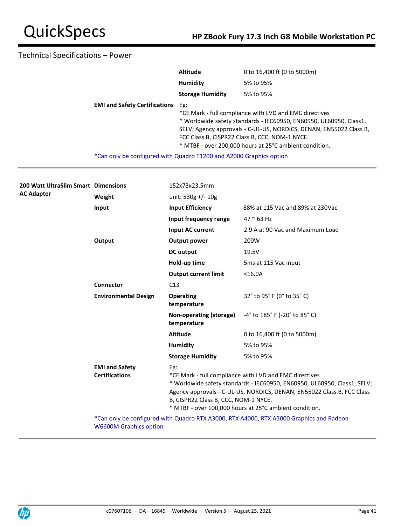# Technical Specifications – Power

|                                      | <b>Altitude</b>                                                     | 0 to 16,400 ft (0 to 5000m)                                                                                                                                                                                                                                                                                    |  |
|--------------------------------------|---------------------------------------------------------------------|----------------------------------------------------------------------------------------------------------------------------------------------------------------------------------------------------------------------------------------------------------------------------------------------------------------|--|
|                                      | Humidity                                                            | 5% to 95%                                                                                                                                                                                                                                                                                                      |  |
|                                      | <b>Storage Humidity</b>                                             | 5% to 95%                                                                                                                                                                                                                                                                                                      |  |
| <b>EMI and Safety Certifications</b> | Eg:                                                                 | *CE Mark - full compliance with LVD and EMC directives<br>* Worldwide safety standards - IEC60950, EN60950, UL60950, Class1,<br>SELV; Agency approvals - C-UL-US, NORDICS, DENAN, EN55022 Class B,<br>FCC Class B, CISPR22 Class B, CCC, NOM-1 NYCE.<br>* MTBF - over 200,000 hours at 25°C ambient condition. |  |
|                                      | *Can only be configured with Quadro T1200 and A2000 Graphics option |                                                                                                                                                                                                                                                                                                                |  |

| <b>200 Watt UltraSlim Smart Dimensions</b><br><b>AC Adapter</b> |                                                                                                                          | 152x73x23.5mm                               |                                                                                                                                                                                                                                                                        |
|-----------------------------------------------------------------|--------------------------------------------------------------------------------------------------------------------------|---------------------------------------------|------------------------------------------------------------------------------------------------------------------------------------------------------------------------------------------------------------------------------------------------------------------------|
|                                                                 | Weight                                                                                                                   | unit: 530g +/- 10g                          |                                                                                                                                                                                                                                                                        |
|                                                                 | Input                                                                                                                    | <b>Input Efficiency</b>                     | 88% at 115 Vac and 89% at 230Vac                                                                                                                                                                                                                                       |
|                                                                 |                                                                                                                          | Input frequency range                       | $47 \approx 63$ Hz                                                                                                                                                                                                                                                     |
|                                                                 |                                                                                                                          | Input AC current                            | 2.9 A at 90 Vac and Maximum Load                                                                                                                                                                                                                                       |
|                                                                 | Output                                                                                                                   | Output power                                | 200W                                                                                                                                                                                                                                                                   |
|                                                                 |                                                                                                                          | DC output                                   | 19.5V                                                                                                                                                                                                                                                                  |
|                                                                 |                                                                                                                          | Hold-up time                                | 5ms at 115 Vac input                                                                                                                                                                                                                                                   |
|                                                                 |                                                                                                                          | <b>Output current limit</b>                 | $<$ 16.0A                                                                                                                                                                                                                                                              |
|                                                                 | <b>Connector</b>                                                                                                         | C13                                         |                                                                                                                                                                                                                                                                        |
|                                                                 | <b>Environmental Design</b>                                                                                              | <b>Operating</b><br>temperature             | 32° to 95° F (0° to 35° C)                                                                                                                                                                                                                                             |
|                                                                 |                                                                                                                          | Non-operating (storage)<br>temperature      | -4° to 185° F (-20° to 85° C)                                                                                                                                                                                                                                          |
|                                                                 |                                                                                                                          | <b>Altitude</b>                             | 0 to 16,400 ft (0 to 5000m)                                                                                                                                                                                                                                            |
|                                                                 |                                                                                                                          | <b>Humidity</b>                             | 5% to 95%                                                                                                                                                                                                                                                              |
|                                                                 |                                                                                                                          | <b>Storage Humidity</b>                     | 5% to 95%                                                                                                                                                                                                                                                              |
|                                                                 | <b>EMI and Safety</b><br><b>Certifications</b>                                                                           | Eg:<br>B, CISPR22 Class B, CCC, NOM-1 NYCE. | *CE Mark - full compliance with LVD and EMC directives<br>* Worldwide safety standards - IEC60950, EN60950, UL60950, Class1, SELV;<br>Agency approvals - C-UL-US, NORDICS, DENAN, EN55022 Class B, FCC Class<br>* MTBF - over 100,000 hours at 25°C ambient condition. |
|                                                                 | *Can only be configured with Quadro RTX A3000, RTX A4000, RTX A5000 Graphics and Radeon<br><b>W6600M Graphics option</b> |                                             |                                                                                                                                                                                                                                                                        |

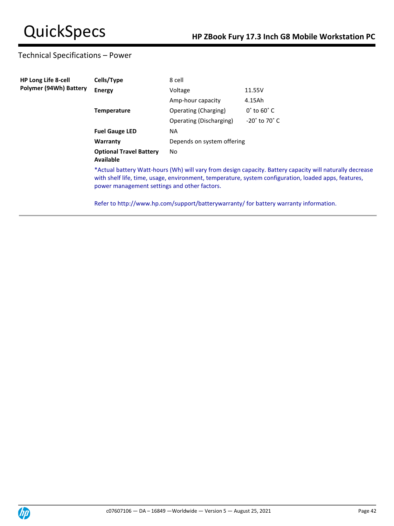# Technical Specifications – Power

| <b>HP Long Life 8-cell</b> | Cells/Type                                   | 8 cell                     |                                                                                                                                                                                                                  |  |
|----------------------------|----------------------------------------------|----------------------------|------------------------------------------------------------------------------------------------------------------------------------------------------------------------------------------------------------------|--|
| Polymer (94Wh) Battery     | <b>Energy</b>                                | Voltage                    | 11.55V                                                                                                                                                                                                           |  |
|                            |                                              | Amp-hour capacity          | 4.15Ah                                                                                                                                                                                                           |  |
|                            | <b>Temperature</b>                           | Operating (Charging)       | $0^{\circ}$ to 60 $^{\circ}$ C                                                                                                                                                                                   |  |
|                            |                                              | Operating (Discharging)    | $-20^\circ$ to 70 $^\circ$ C                                                                                                                                                                                     |  |
|                            | <b>Fuel Gauge LED</b>                        | <b>NA</b>                  |                                                                                                                                                                                                                  |  |
|                            | Warranty                                     | Depends on system offering |                                                                                                                                                                                                                  |  |
|                            | <b>Optional Travel Battery</b><br>Available  | No.                        |                                                                                                                                                                                                                  |  |
|                            | power management settings and other factors. |                            | *Actual battery Watt-hours (Wh) will vary from design capacity. Battery capacity will naturally decrease<br>with shelf life, time, usage, environment, temperature, system configuration, loaded apps, features, |  |
|                            |                                              |                            | Refer to http://www.hp.com/support/batterywarranty/ for battery warranty information.                                                                                                                            |  |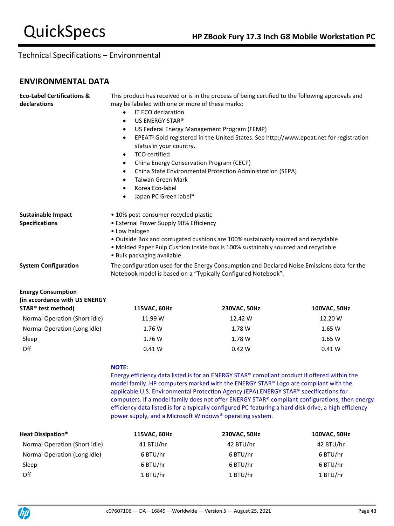## **ENVIRONMENTAL DATA**

| <b>Eco-Label Certifications &amp;</b> | This product has received or is in the process of being certified to the following approvals and                                                             |  |  |  |
|---------------------------------------|--------------------------------------------------------------------------------------------------------------------------------------------------------------|--|--|--|
| declarations                          | may be labeled with one or more of these marks:                                                                                                              |  |  |  |
|                                       | IT ECO declaration<br>$\bullet$                                                                                                                              |  |  |  |
|                                       | US ENERGY STAR®<br>$\bullet$                                                                                                                                 |  |  |  |
|                                       | US Federal Energy Management Program (FEMP)<br>$\bullet$                                                                                                     |  |  |  |
|                                       | EPEAT <sup>®</sup> Gold registered in the United States. See http://www.epeat.net for registration<br>$\bullet$                                              |  |  |  |
|                                       | status in your country.                                                                                                                                      |  |  |  |
|                                       | TCO certified<br>$\bullet$                                                                                                                                   |  |  |  |
|                                       | China Energy Conservation Program (CECP)<br>٠                                                                                                                |  |  |  |
|                                       | China State Environmental Protection Administration (SEPA)<br>$\bullet$                                                                                      |  |  |  |
|                                       | Taiwan Green Mark<br>$\bullet$                                                                                                                               |  |  |  |
|                                       | Korea Eco-label<br>$\bullet$                                                                                                                                 |  |  |  |
|                                       | Japan PC Green label*<br>$\bullet$                                                                                                                           |  |  |  |
| <b>Sustainable Impact</b>             | • 10% post-consumer recycled plastic                                                                                                                         |  |  |  |
| <b>Specifications</b>                 | • External Power Supply 90% Efficiency                                                                                                                       |  |  |  |
|                                       | • Low halogen                                                                                                                                                |  |  |  |
|                                       | . Outside Box and corrugated cushions are 100% sustainably sourced and recyclable                                                                            |  |  |  |
|                                       | • Molded Paper Pulp Cushion inside box is 100% sustainably sourced and recyclable                                                                            |  |  |  |
|                                       | • Bulk packaging available                                                                                                                                   |  |  |  |
| <b>System Configuration</b>           | The configuration used for the Energy Consumption and Declared Noise Emissions data for the<br>Notebook model is based on a "Typically Configured Notebook". |  |  |  |
|                                       |                                                                                                                                                              |  |  |  |
| <b>Energy Consumption</b>             |                                                                                                                                                              |  |  |  |
| (in accordance with US ENERGY         |                                                                                                                                                              |  |  |  |

| STAR <sup>®</sup> test method) | 115VAC, 60Hz | 230VAC, 50Hz | <b>100VAC, 50Hz</b> |  |
|--------------------------------|--------------|--------------|---------------------|--|
| Normal Operation (Short idle)  | 11.99 W      | 12.42 W      | 12.20 W             |  |
| Normal Operation (Long idle)   | 1.76 W       | 1.78 W       | 1.65 W              |  |
| Sleep                          | 1.76 W       | 1.78 W       | 1.65 W              |  |
| Off                            | 0.41 W       | 0.42 W       | 0.41 W              |  |

### **NOTE:**

Energy efficiency data listed is for an ENERGY STAR® compliant product if offered within the model family. HP computers marked with the ENERGY STAR® Logo are compliant with the applicable U.S. Environmental Protection Agency (EPA) ENERGY STAR® specifications for computers. If a model family does not offer ENERGY STAR® compliant configurations, then energy efficiency data listed is for a typically configured PC featuring a hard disk drive, a high efficiency power supply, and a Microsoft Windows® operating system.

| <b>Heat Dissipation*</b>      | 115VAC, 60Hz | 230VAC, 50Hz | 100VAC, 50Hz |
|-------------------------------|--------------|--------------|--------------|
| Normal Operation (Short idle) | 41 BTU/hr    | 42 BTU/hr    | 42 BTU/hr    |
| Normal Operation (Long idle)  | 6 BTU/hr     | 6 BTU/hr     | 6 BTU/hr     |
| Sleep                         | 6 BTU/hr     | 6 BTU/hr     | 6 BTU/hr     |
| Off                           | 1 BTU/hr     | 1 BTU/hr     | 1 BTU/hr     |

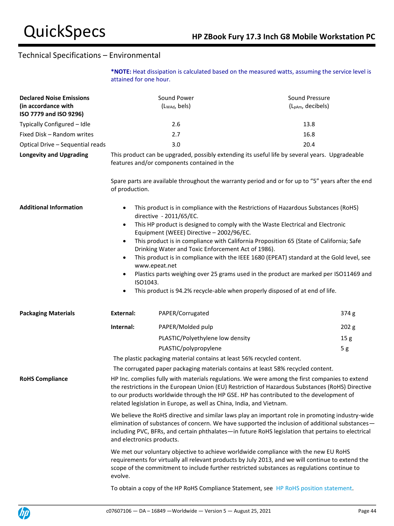**\*NOTE:** Heat dissipation is calculated based on the measured watts, assuming the service level is attained for one hour.

| <b>Declared Noise Emissions</b><br>(in accordance with<br>ISO 7779 and ISO 9296) |                                     | Sound Power<br>(LwAd, bels)                                          | Sound Pressure<br>(L <sub>pAm</sub> , decibels)                                                                                                                                                                                                                                                            |
|----------------------------------------------------------------------------------|-------------------------------------|----------------------------------------------------------------------|------------------------------------------------------------------------------------------------------------------------------------------------------------------------------------------------------------------------------------------------------------------------------------------------------------|
| Typically Configured - Idle                                                      |                                     | 2.6                                                                  | 13.8                                                                                                                                                                                                                                                                                                       |
| Fixed Disk - Random writes                                                       |                                     | 2.7                                                                  | 16.8                                                                                                                                                                                                                                                                                                       |
| Optical Drive - Sequential reads                                                 |                                     | 3.0                                                                  | 20.4                                                                                                                                                                                                                                                                                                       |
| <b>Longevity and Upgrading</b>                                                   |                                     | features and/or components contained in the                          | This product can be upgraded, possibly extending its useful life by several years. Upgradeable                                                                                                                                                                                                             |
|                                                                                  | of production.                      |                                                                      | Spare parts are available throughout the warranty period and or for up to "5" years after the end                                                                                                                                                                                                          |
| <b>Additional Information</b>                                                    | $\bullet$<br>$\bullet$<br>$\bullet$ | directive - 2011/65/EC.<br>Equipment (WEEE) Directive - 2002/96/EC.  | This product is in compliance with the Restrictions of Hazardous Substances (RoHS)<br>This HP product is designed to comply with the Waste Electrical and Electronic<br>This product is in compliance with California Proposition 65 (State of California; Safe                                            |
|                                                                                  | $\bullet$                           | Drinking Water and Toxic Enforcement Act of 1986).                   | This product is in compliance with the IEEE 1680 (EPEAT) standard at the Gold level, see                                                                                                                                                                                                                   |
|                                                                                  | $\bullet$<br>ISO1043.               | www.epeat.net                                                        | Plastics parts weighing over 25 grams used in the product are marked per ISO11469 and                                                                                                                                                                                                                      |
|                                                                                  | ٠                                   |                                                                      | This product is 94.2% recycle-able when properly disposed of at end of life.                                                                                                                                                                                                                               |
| <b>Packaging Materials</b>                                                       | External:                           | PAPER/Corrugated                                                     | 374 g                                                                                                                                                                                                                                                                                                      |
|                                                                                  | Internal:                           | PAPER/Molded pulp                                                    | 202 g                                                                                                                                                                                                                                                                                                      |
|                                                                                  |                                     | PLASTIC/Polyethylene low density                                     | 15 <sub>g</sub>                                                                                                                                                                                                                                                                                            |
|                                                                                  |                                     | PLASTIC/polypropylene                                                | 5g                                                                                                                                                                                                                                                                                                         |
|                                                                                  |                                     |                                                                      | The plastic packaging material contains at least 56% recycled content.                                                                                                                                                                                                                                     |
|                                                                                  |                                     |                                                                      | The corrugated paper packaging materials contains at least 58% recycled content.                                                                                                                                                                                                                           |
| <b>RoHS Compliance</b>                                                           |                                     | related legislation in Europe, as well as China, India, and Vietnam. | HP Inc. complies fully with materials regulations. We were among the first companies to extend<br>the restrictions in the European Union (EU) Restriction of Hazardous Substances (RoHS) Directive<br>to our products worldwide through the HP GSE. HP has contributed to the development of               |
|                                                                                  | and electronics products.           |                                                                      | We believe the RoHS directive and similar laws play an important role in promoting industry-wide<br>elimination of substances of concern. We have supported the inclusion of additional substances -<br>including PVC, BFRs, and certain phthalates-in future RoHS legislation that pertains to electrical |
|                                                                                  | evolve.                             |                                                                      | We met our voluntary objective to achieve worldwide compliance with the new EU RoHS<br>requirements for virtually all relevant products by July 2013, and we will continue to extend the<br>scope of the commitment to include further restricted substances as regulations continue to                    |
|                                                                                  |                                     |                                                                      | To obtain a copy of the HP RoHS Compliance Statement, see HP RoHS position statement.                                                                                                                                                                                                                      |

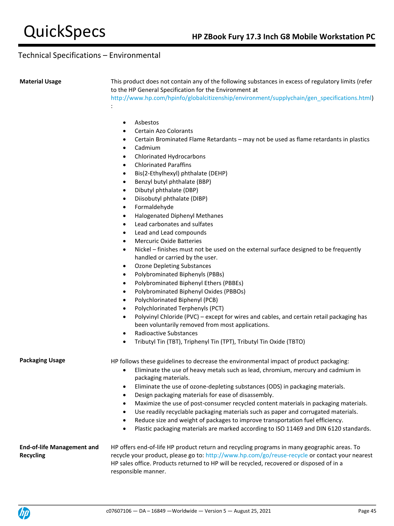**Material Usage** This product does not contain any of the following substances in excess of regulatory limits (refer to the HP General Specification for the Environment at

[http://www.hp.com/hpinfo/globalcitizenship/environment/supplychain/gen\\_specifications.html\)](http://www.hp.com/hpinfo/globalcitizenship/environment/supplychain/gen_specifications.html)

• Asbestos

:

- Certain Azo Colorants
- Certain Brominated Flame Retardants may not be used as flame retardants in plastics
- Cadmium
- Chlorinated Hydrocarbons
- Chlorinated Paraffins
- Bis(2-Ethylhexyl) phthalate (DEHP)
- Benzyl butyl phthalate (BBP)
- Dibutyl phthalate (DBP)
- Diisobutyl phthalate (DIBP)
- Formaldehyde
- Halogenated Diphenyl Methanes
- Lead carbonates and sulfates
- Lead and Lead compounds
- Mercuric Oxide Batteries
- Nickel finishes must not be used on the external surface designed to be frequently handled or carried by the user.
- Ozone Depleting Substances
- Polybrominated Biphenyls (PBBs)
- Polybrominated Biphenyl Ethers (PBBEs)
- Polybrominated Biphenyl Oxides (PBBOs)
- Polychlorinated Biphenyl (PCB)
- Polychlorinated Terphenyls (PCT)
- Polyvinyl Chloride (PVC) except for wires and cables, and certain retail packaging has been voluntarily removed from most applications.
- Radioactive Substances
- Tributyl Tin (TBT), Triphenyl Tin (TPT), Tributyl Tin Oxide (TBTO)

Packaging Usage **HP follows these guidelines to decrease the environmental impact of product packaging:** 

- Eliminate the use of heavy metals such as lead, chromium, mercury and cadmium in packaging materials.
- Eliminate the use of ozone-depleting substances (ODS) in packaging materials.
- Design packaging materials for ease of disassembly.
- Maximize the use of post-consumer recycled content materials in packaging materials.
- Use readily recyclable packaging materials such as paper and corrugated materials.
- Reduce size and weight of packages to improve transportation fuel efficiency.
- Plastic packaging materials are marked according to ISO 11469 and DIN 6120 standards.

**End-of-life Management and Recycling** HP offers end-of-life HP product return and recycling programs in many geographic areas. To recycle your product, please go to:<http://www.hp.com/go/reuse-recycle> or contact your nearest HP sales office. Products returned to HP will be recycled, recovered or disposed of in a responsible manner.

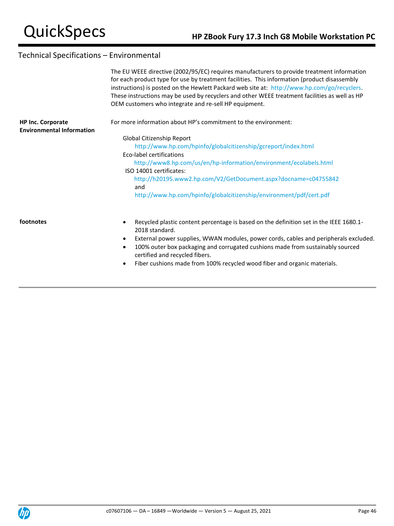|                                                              | The EU WEEE directive (2002/95/EC) requires manufacturers to provide treatment information<br>for each product type for use by treatment facilities. This information (product disassembly<br>instructions) is posted on the Hewlett Packard web site at: http://www.hp.com/go/recyclers.<br>These instructions may be used by recyclers and other WEEE treatment facilities as well as HP<br>OEM customers who integrate and re-sell HP equipment. |
|--------------------------------------------------------------|-----------------------------------------------------------------------------------------------------------------------------------------------------------------------------------------------------------------------------------------------------------------------------------------------------------------------------------------------------------------------------------------------------------------------------------------------------|
| <b>HP Inc. Corporate</b><br><b>Environmental Information</b> | For more information about HP's commitment to the environment:                                                                                                                                                                                                                                                                                                                                                                                      |
|                                                              | Global Citizenship Report                                                                                                                                                                                                                                                                                                                                                                                                                           |
|                                                              | http://www.hp.com/hpinfo/globalcitizenship/gcreport/index.html                                                                                                                                                                                                                                                                                                                                                                                      |
|                                                              | Eco-label certifications                                                                                                                                                                                                                                                                                                                                                                                                                            |
|                                                              | http://www8.hp.com/us/en/hp-information/environment/ecolabels.html                                                                                                                                                                                                                                                                                                                                                                                  |
|                                                              | ISO 14001 certificates:                                                                                                                                                                                                                                                                                                                                                                                                                             |
|                                                              | http://h20195.www2.hp.com/V2/GetDocument.aspx?docname=c04755842<br>and                                                                                                                                                                                                                                                                                                                                                                              |
|                                                              | http://www.hp.com/hpinfo/globalcitizenship/environment/pdf/cert.pdf                                                                                                                                                                                                                                                                                                                                                                                 |
| footnotes                                                    | Recycled plastic content percentage is based on the definition set in the IEEE 1680.1-                                                                                                                                                                                                                                                                                                                                                              |
|                                                              | 2018 standard.                                                                                                                                                                                                                                                                                                                                                                                                                                      |
|                                                              | External power supplies, WWAN modules, power cords, cables and peripherals excluded.                                                                                                                                                                                                                                                                                                                                                                |
|                                                              | 100% outer box packaging and corrugated cushions made from sustainably sourced<br>certified and recycled fibers.                                                                                                                                                                                                                                                                                                                                    |

• Fiber cushions made from 100% recycled wood fiber and organic materials.

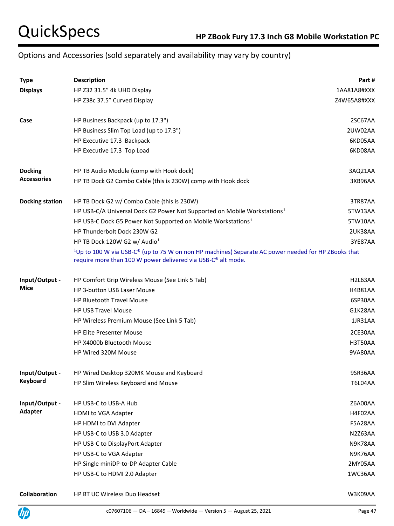# Options and Accessories (sold separately and availability may vary by country)

| <b>Type</b>            | <b>Description</b>                                                                                                                                                     | Part#          |
|------------------------|------------------------------------------------------------------------------------------------------------------------------------------------------------------------|----------------|
| <b>Displays</b>        | HP Z32 31.5" 4k UHD Display                                                                                                                                            | 1AA81A8#XXX    |
|                        | HP Z38c 37.5" Curved Display                                                                                                                                           | Z4W65A8#XXX    |
| Case                   | HP Business Backpack (up to 17.3")                                                                                                                                     | 2SC67AA        |
|                        | HP Business Slim Top Load (up to 17.3")                                                                                                                                | 2UW02AA        |
|                        | HP Executive 17.3 Backpack                                                                                                                                             | 6KD05AA        |
|                        | HP Executive 17.3 Top Load                                                                                                                                             | 6KD08AA        |
| <b>Docking</b>         | HP TB Audio Module (comp with Hook dock)                                                                                                                               | 3AQ21AA        |
| <b>Accessories</b>     | HP TB Dock G2 Combo Cable (this is 230W) comp with Hook dock                                                                                                           | 3XB96AA        |
| <b>Docking station</b> | HP TB Dock G2 w/ Combo Cable (this is 230W)                                                                                                                            | 3TR87AA        |
|                        | HP USB-C/A Universal Dock G2 Power Not Supported on Mobile Workstations <sup>1</sup>                                                                                   | 5TW13AA        |
|                        | HP USB-C Dock G5 Power Not Supported on Mobile Workstations <sup>1</sup>                                                                                               | 5TW10AA        |
|                        | HP Thunderbolt Dock 230W G2                                                                                                                                            | 2UK38AA        |
|                        | HP TB Dock 120W G2 w/ Audio <sup>1</sup>                                                                                                                               | 3YE87AA        |
|                        | $1$ Up to 100 W via USB-C® (up to 75 W on non HP machines) Separate AC power needed for HP ZBooks that<br>require more than 100 W power delivered via USB-C® alt mode. |                |
| Input/Output -         | HP Comfort Grip Wireless Mouse (See Link 5 Tab)                                                                                                                        | H2L63AA        |
| Mice                   | HP 3-button USB Laser Mouse                                                                                                                                            | <b>H4B81AA</b> |
|                        | <b>HP Bluetooth Travel Mouse</b>                                                                                                                                       | 6SP30AA        |
|                        | <b>HP USB Travel Mouse</b>                                                                                                                                             | G1K28AA        |
|                        | HP Wireless Premium Mouse (See Link 5 Tab)                                                                                                                             | 1JR31AA        |
|                        | <b>HP Elite Presenter Mouse</b>                                                                                                                                        | 2CE30AA        |
|                        | HP X4000b Bluetooth Mouse                                                                                                                                              | H3T50AA        |
|                        | HP Wired 320M Mouse                                                                                                                                                    | 9VA80AA        |
| Input/Output -         | HP Wired Desktop 320MK Mouse and Keyboard                                                                                                                              | 9SR36AA        |
| Keyboard               | HP Slim Wireless Keyboard and Mouse                                                                                                                                    | <b>T6L04AA</b> |
| Input/Output -         | HP USB-C to USB-A Hub                                                                                                                                                  | Z6A00AA        |
| <b>Adapter</b>         | HDMI to VGA Adapter                                                                                                                                                    | H4F02AA        |
|                        | HP HDMI to DVI Adapter                                                                                                                                                 | F5A28AA        |
|                        | HP USB-C to USB 3.0 Adapter                                                                                                                                            | N2Z63AA        |
|                        | HP USB-C to DisplayPort Adapter                                                                                                                                        | N9K78AA        |
|                        | HP USB-C to VGA Adapter                                                                                                                                                | N9K76AA        |
|                        | HP Single miniDP-to-DP Adapter Cable                                                                                                                                   | 2MY05AA        |
|                        | HP USB-C to HDMI 2.0 Adapter                                                                                                                                           | 1WC36AA        |
| Collaboration          | HP BT UC Wireless Duo Headset                                                                                                                                          | W3K09AA        |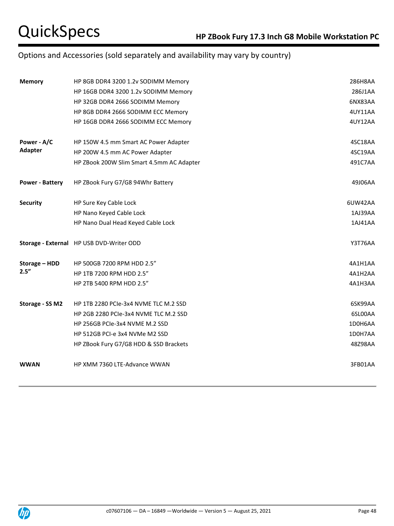# Options and Accessories (sold separately and availability may vary by country)

| <b>Memory</b>          | HP 8GB DDR4 3200 1.2v SODIMM Memory       | 286H8AA        |
|------------------------|-------------------------------------------|----------------|
|                        | HP 16GB DDR4 3200 1.2v SODIMM Memory      | 286J1AA        |
|                        | HP 32GB DDR4 2666 SODIMM Memory           | 6NX83AA        |
|                        | HP 8GB DDR4 2666 SODIMM ECC Memory        | 4UY11AA        |
|                        | HP 16GB DDR4 2666 SODIMM ECC Memory       | 4UY12AA        |
| Power - A/C            | HP 150W 4.5 mm Smart AC Power Adapter     | 4SC18AA        |
| <b>Adapter</b>         | HP 200W 4.5 mm AC Power Adapter           | 4SC19AA        |
|                        | HP ZBook 200W Slim Smart 4.5mm AC Adapter | 491C7AA        |
| <b>Power - Battery</b> | HP ZBook Fury G7/G8 94Whr Battery         | 49J06AA        |
| <b>Security</b>        | HP Sure Key Cable Lock                    | 6UW42AA        |
|                        | HP Nano Keyed Cable Lock                  | 1AJ39AA        |
|                        | HP Nano Dual Head Keyed Cable Lock        | 1AJ41AA        |
|                        | Storage - External HP USB DVD-Writer ODD  | <b>Y3T76AA</b> |
| Storage - HDD          | HP 500GB 7200 RPM HDD 2.5"                | 4A1H1AA        |
| 2.5''                  | HP 1TB 7200 RPM HDD 2.5"                  | 4A1H2AA        |
|                        | HP 2TB 5400 RPM HDD 2.5"                  | 4A1H3AA        |
| Storage - SS M2        | HP 1TB 2280 PCIe-3x4 NVME TLC M.2 SSD     | 6SK99AA        |
|                        | HP 2GB 2280 PCIe-3x4 NVME TLC M.2 SSD     | 6SL00AA        |
|                        | HP 256GB PCIe-3x4 NVME M.2 SSD            | 1D0H6AA        |
|                        | HP 512GB PCI-e 3x4 NVMe M2 SSD            | 1D0H7AA        |
|                        | HP ZBook Fury G7/G8 HDD & SSD Brackets    | 48Z98AA        |
| <b>WWAN</b>            | HP XMM 7360 LTE-Advance WWAN              | 3FB01AA        |